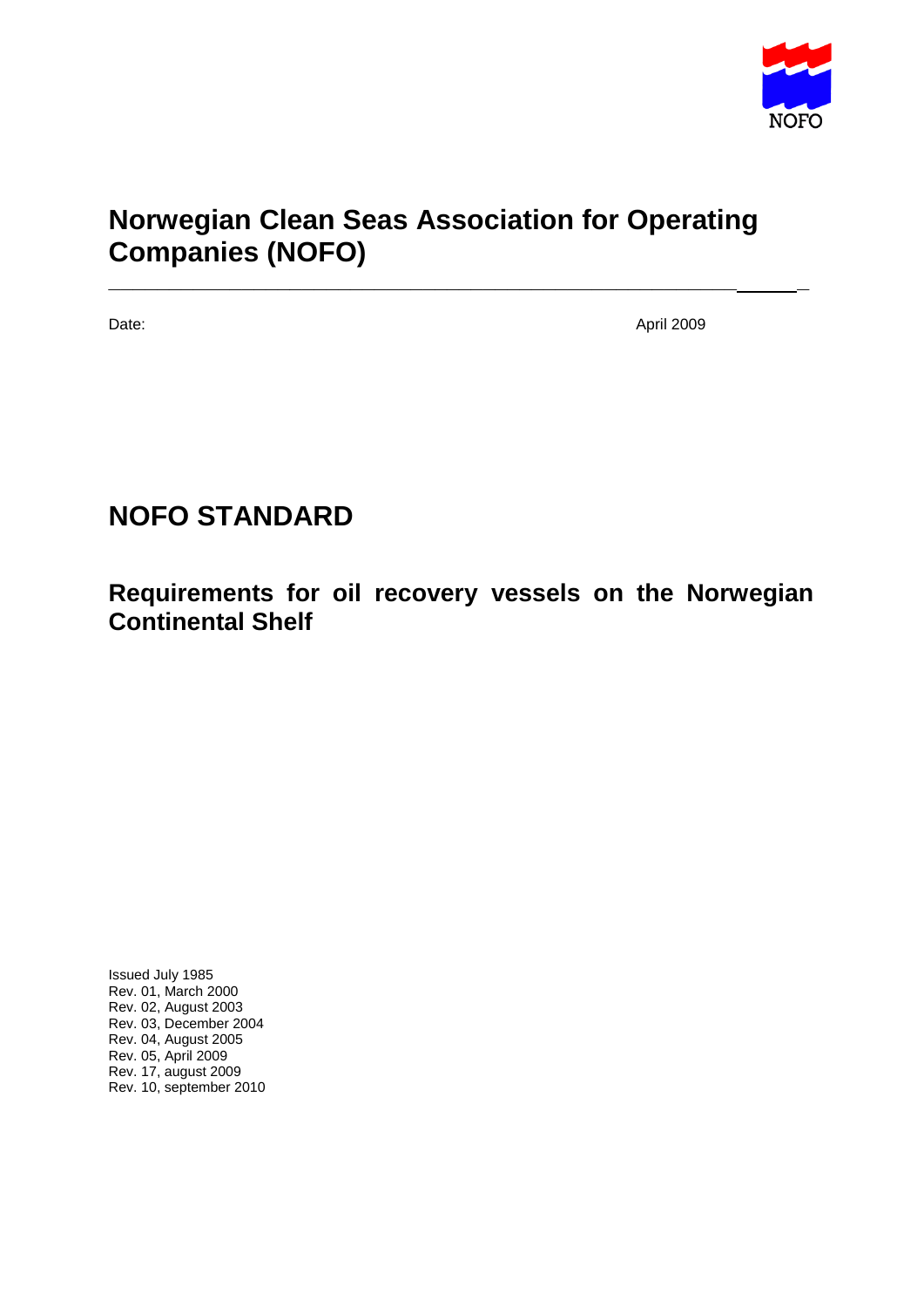

# **Norwegian Clean Seas Association for Operating Companies (NOFO)**

**\_\_\_\_\_\_\_\_\_\_\_\_\_\_\_\_\_\_\_\_\_\_\_\_\_\_\_\_\_\_\_\_\_\_\_\_\_\_\_\_\_\_\_\_\_\_\_\_\_\_\_\_ \_** 

Date: April 2009

# **NOFO STANDARD**

**Requirements for oil recovery vessels on the Norwegian Continental Shelf**

Issued July 1985 Rev. 01, March 2000 Rev. 02, August 2003 Rev. 03, December 2004 Rev. 04, August 2005 Rev. 05, April 2009 Rev. 17, august 2009 Rev. 10, september 2010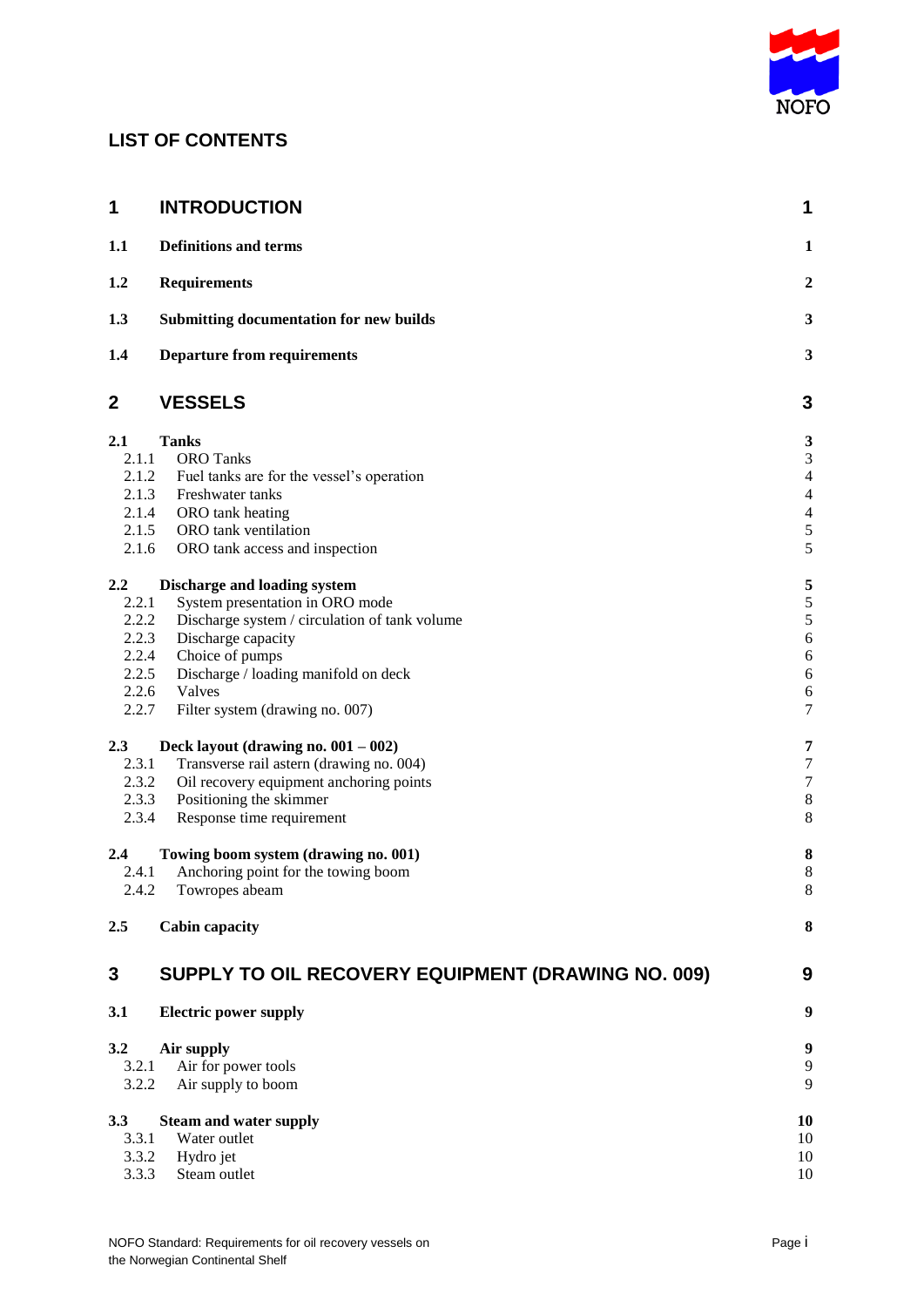

# **LIST OF CONTENTS**

| 1       | <b>INTRODUCTION</b>                                | 1                        |
|---------|----------------------------------------------------|--------------------------|
| 1.1     | <b>Definitions and terms</b>                       | $\mathbf{1}$             |
| 1.2     | <b>Requirements</b>                                | $\overline{2}$           |
| 1.3     | <b>Submitting documentation for new builds</b>     | 3                        |
| 1.4     | <b>Departure from requirements</b>                 | 3                        |
| 2       | <b>VESSELS</b>                                     | 3                        |
| 2.1     | <b>Tanks</b>                                       | 3                        |
| 2.1.1   | <b>ORO</b> Tanks                                   | 3                        |
| 2.1.2   | Fuel tanks are for the vessel's operation          | $\overline{\mathcal{L}}$ |
| 2.1.3   | Freshwater tanks                                   | $\overline{\mathcal{L}}$ |
| 2.1.4   | ORO tank heating                                   | $\overline{4}$           |
| 2.1.5   | ORO tank ventilation                               | 5<br>5                   |
| 2.1.6   | ORO tank access and inspection                     |                          |
| $2.2\,$ | Discharge and loading system                       | 5                        |
| 2.2.1   | System presentation in ORO mode                    | 5                        |
| 2.2.2   | Discharge system / circulation of tank volume      | 5                        |
| 2.2.3   | Discharge capacity                                 | 6                        |
| 2.2.4   | Choice of pumps                                    | 6                        |
| 2.2.5   | Discharge / loading manifold on deck               | 6                        |
| 2.2.6   | Valves                                             | 6                        |
| 2.2.7   | Filter system (drawing no. 007)                    | $\overline{7}$           |
| 2.3     | Deck layout (drawing no. $001 - 002$ )             | 7                        |
| 2.3.1   | Transverse rail astern (drawing no. 004)           | $\overline{7}$           |
| 2.3.2   | Oil recovery equipment anchoring points            | $\overline{7}$           |
| 2.3.3   | Positioning the skimmer                            | 8                        |
| 2.3.4   | Response time requirement                          | 8                        |
| $2.4\,$ | Towing boom system (drawing no. 001)               | 8                        |
| 2.4.1   | Anchoring point for the towing boom                | 8                        |
| 2.4.2   | Towropes abeam                                     | 8                        |
| 2.5     | <b>Cabin capacity</b>                              | 8                        |
| 3       | SUPPLY TO OIL RECOVERY EQUIPMENT (DRAWING NO. 009) | 9                        |
| 3.1     | <b>Electric power supply</b>                       | 9                        |
| 3.2     | Air supply                                         | 9                        |
| 3.2.1   | Air for power tools                                | 9                        |
| 3.2.2   | Air supply to boom                                 | 9                        |
| 3.3     | <b>Steam and water supply</b>                      | 10                       |
| 3.3.1   | Water outlet                                       | 10                       |
| 3.3.2   | Hydro jet                                          | 10                       |
| 3.3.3   | Steam outlet                                       | 10                       |
|         |                                                    |                          |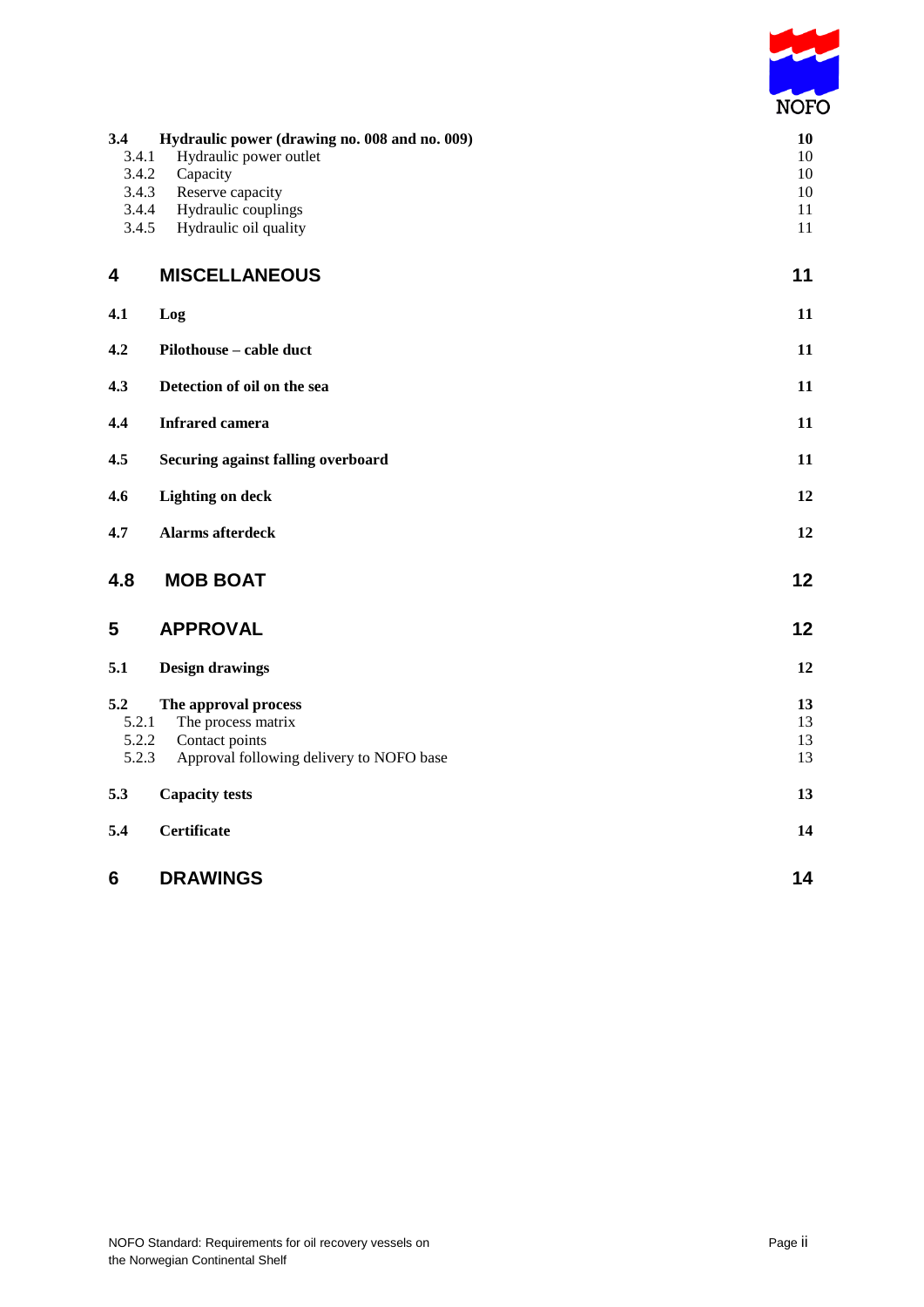

| 3.4<br>3.4.1<br>3.4.2<br>3.4.3<br>3.4.4<br>3.4.5 | Hydraulic power (drawing no. 008 and no. 009)<br>Hydraulic power outlet<br>Capacity<br>Reserve capacity<br>Hydraulic couplings<br>Hydraulic oil quality | 10<br>10<br>10<br>10<br>11<br>11 |
|--------------------------------------------------|---------------------------------------------------------------------------------------------------------------------------------------------------------|----------------------------------|
| 4                                                | <b>MISCELLANEOUS</b>                                                                                                                                    | 11                               |
| 4.1                                              | Log                                                                                                                                                     | 11                               |
| 4.2                                              | Pilothouse - cable duct                                                                                                                                 | 11                               |
| 4.3                                              | Detection of oil on the sea                                                                                                                             | 11                               |
| 4.4                                              | <b>Infrared camera</b>                                                                                                                                  | 11                               |
| 4.5                                              | Securing against falling overboard                                                                                                                      | 11                               |
| 4.6                                              | <b>Lighting on deck</b>                                                                                                                                 | 12                               |
| 4.7                                              | <b>Alarms afterdeck</b>                                                                                                                                 | 12                               |
| 4.8                                              | <b>MOB BOAT</b>                                                                                                                                         | 12                               |
| 5                                                | <b>APPROVAL</b>                                                                                                                                         | 12                               |
| 5.1                                              | <b>Design drawings</b>                                                                                                                                  | 12                               |
| 5.2<br>5.2.1<br>5.2.2<br>5.2.3                   | The approval process<br>The process matrix<br>Contact points<br>Approval following delivery to NOFO base                                                | 13<br>13<br>13<br>13             |
| 5.3                                              | <b>Capacity tests</b>                                                                                                                                   | 13                               |
| 5.4                                              | <b>Certificate</b>                                                                                                                                      | 14                               |
| 6                                                | <b>DRAWINGS</b>                                                                                                                                         | 14                               |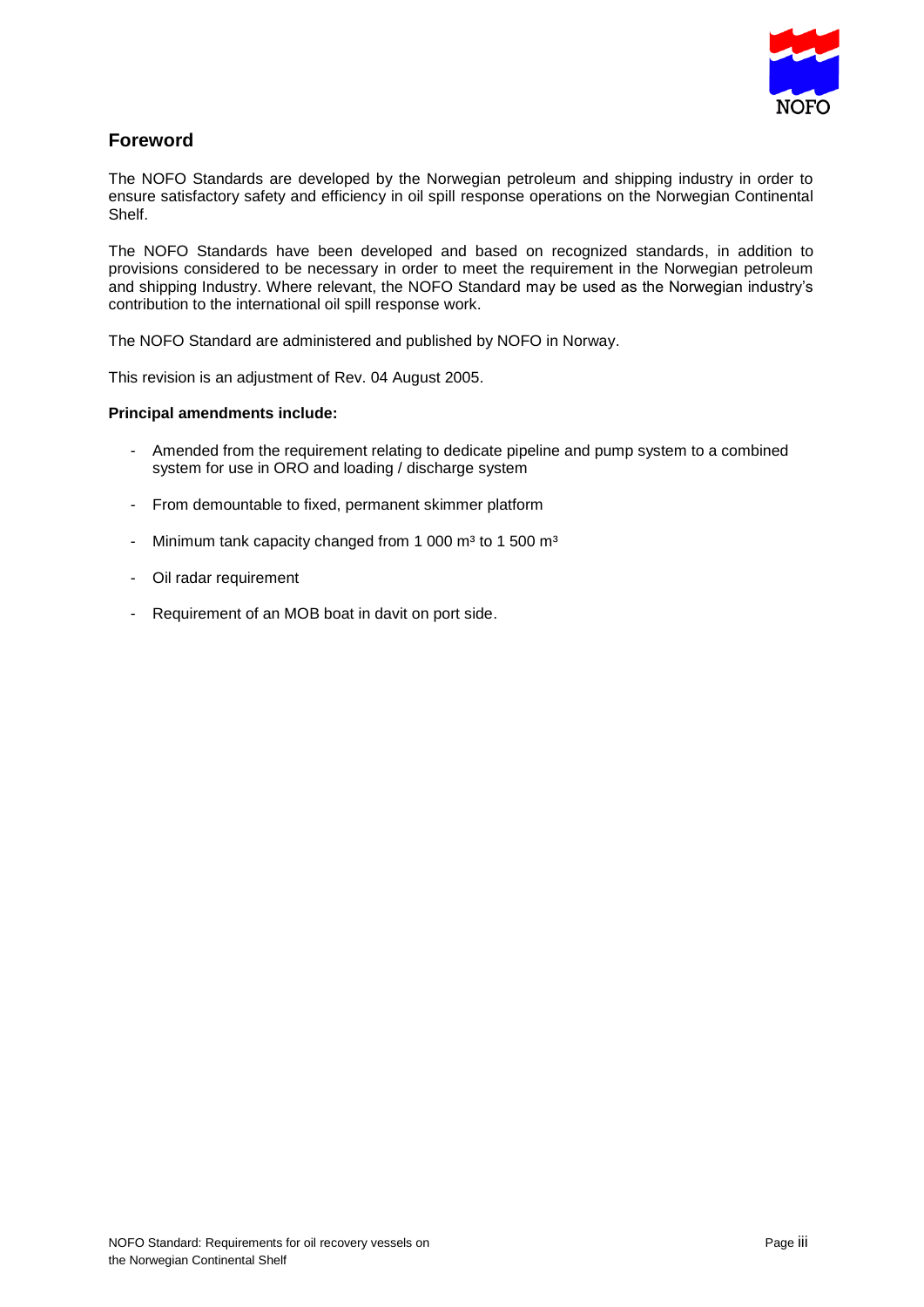

## **Foreword**

The NOFO Standards are developed by the Norwegian petroleum and shipping industry in order to ensure satisfactory safety and efficiency in oil spill response operations on the Norwegian Continental Shelf.

The NOFO Standards have been developed and based on recognized standards, in addition to provisions considered to be necessary in order to meet the requirement in the Norwegian petroleum and shipping Industry. Where relevant, the NOFO Standard may be used as the Norwegian industry's contribution to the international oil spill response work.

The NOFO Standard are administered and published by NOFO in Norway.

This revision is an adjustment of Rev. 04 August 2005.

#### **Principal amendments include:**

- Amended from the requirement relating to dedicate pipeline and pump system to a combined system for use in ORO and loading / discharge system
- From demountable to fixed, permanent skimmer platform
- Minimum tank capacity changed from 1 000  $m<sup>3</sup>$  to 1 500  $m<sup>3</sup>$
- Oil radar requirement
- Requirement of an MOB boat in davit on port side.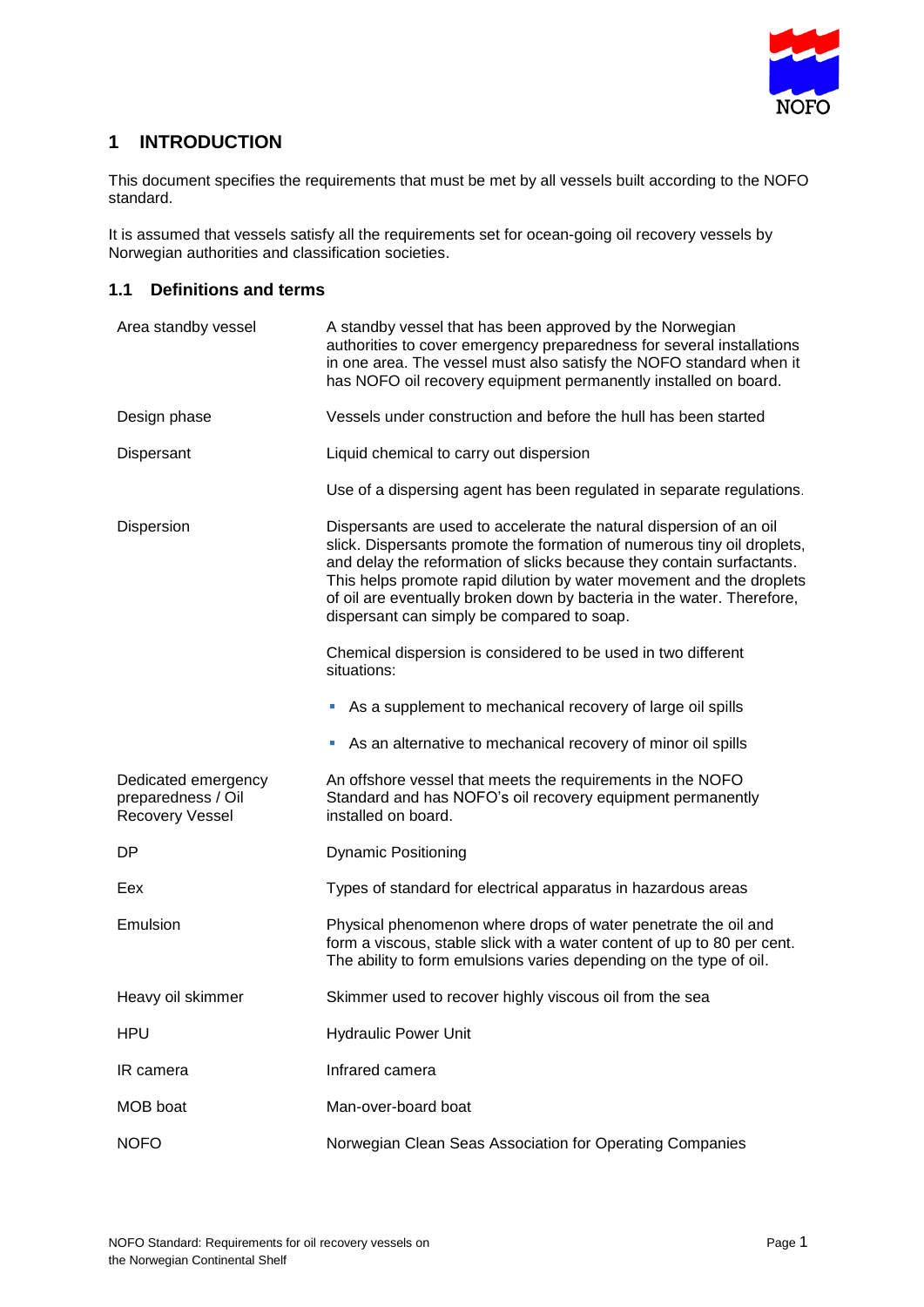

# **1 INTRODUCTION**

This document specifies the requirements that must be met by all vessels built according to the NOFO standard.

It is assumed that vessels satisfy all the requirements set for ocean-going oil recovery vessels by Norwegian authorities and classification societies.

## **1.1 Definitions and terms**

| Area standby vessel                                          | A standby vessel that has been approved by the Norwegian<br>authorities to cover emergency preparedness for several installations<br>in one area. The vessel must also satisfy the NOFO standard when it<br>has NOFO oil recovery equipment permanently installed on board.                                                                                                                                             |
|--------------------------------------------------------------|-------------------------------------------------------------------------------------------------------------------------------------------------------------------------------------------------------------------------------------------------------------------------------------------------------------------------------------------------------------------------------------------------------------------------|
| Design phase                                                 | Vessels under construction and before the hull has been started                                                                                                                                                                                                                                                                                                                                                         |
| Dispersant                                                   | Liquid chemical to carry out dispersion                                                                                                                                                                                                                                                                                                                                                                                 |
|                                                              | Use of a dispersing agent has been regulated in separate regulations.                                                                                                                                                                                                                                                                                                                                                   |
| Dispersion                                                   | Dispersants are used to accelerate the natural dispersion of an oil<br>slick. Dispersants promote the formation of numerous tiny oil droplets,<br>and delay the reformation of slicks because they contain surfactants.<br>This helps promote rapid dilution by water movement and the droplets<br>of oil are eventually broken down by bacteria in the water. Therefore,<br>dispersant can simply be compared to soap. |
|                                                              | Chemical dispersion is considered to be used in two different<br>situations:                                                                                                                                                                                                                                                                                                                                            |
|                                                              | As a supplement to mechanical recovery of large oil spills<br>ш                                                                                                                                                                                                                                                                                                                                                         |
|                                                              | As an alternative to mechanical recovery of minor oil spills<br>u,                                                                                                                                                                                                                                                                                                                                                      |
| Dedicated emergency<br>preparedness / Oil<br>Recovery Vessel | An offshore vessel that meets the requirements in the NOFO<br>Standard and has NOFO's oil recovery equipment permanently<br>installed on board.                                                                                                                                                                                                                                                                         |
| <b>DP</b>                                                    | <b>Dynamic Positioning</b>                                                                                                                                                                                                                                                                                                                                                                                              |
| Eex                                                          | Types of standard for electrical apparatus in hazardous areas                                                                                                                                                                                                                                                                                                                                                           |
| Emulsion                                                     | Physical phenomenon where drops of water penetrate the oil and<br>form a viscous, stable slick with a water content of up to 80 per cent.<br>The ability to form emulsions varies depending on the type of oil.                                                                                                                                                                                                         |
| Heavy oil skimmer                                            | Skimmer used to recover highly viscous oil from the sea                                                                                                                                                                                                                                                                                                                                                                 |
| <b>HPU</b>                                                   | <b>Hydraulic Power Unit</b>                                                                                                                                                                                                                                                                                                                                                                                             |
| IR camera                                                    | Infrared camera                                                                                                                                                                                                                                                                                                                                                                                                         |
| MOB boat                                                     | Man-over-board boat                                                                                                                                                                                                                                                                                                                                                                                                     |
| <b>NOFO</b>                                                  | Norwegian Clean Seas Association for Operating Companies                                                                                                                                                                                                                                                                                                                                                                |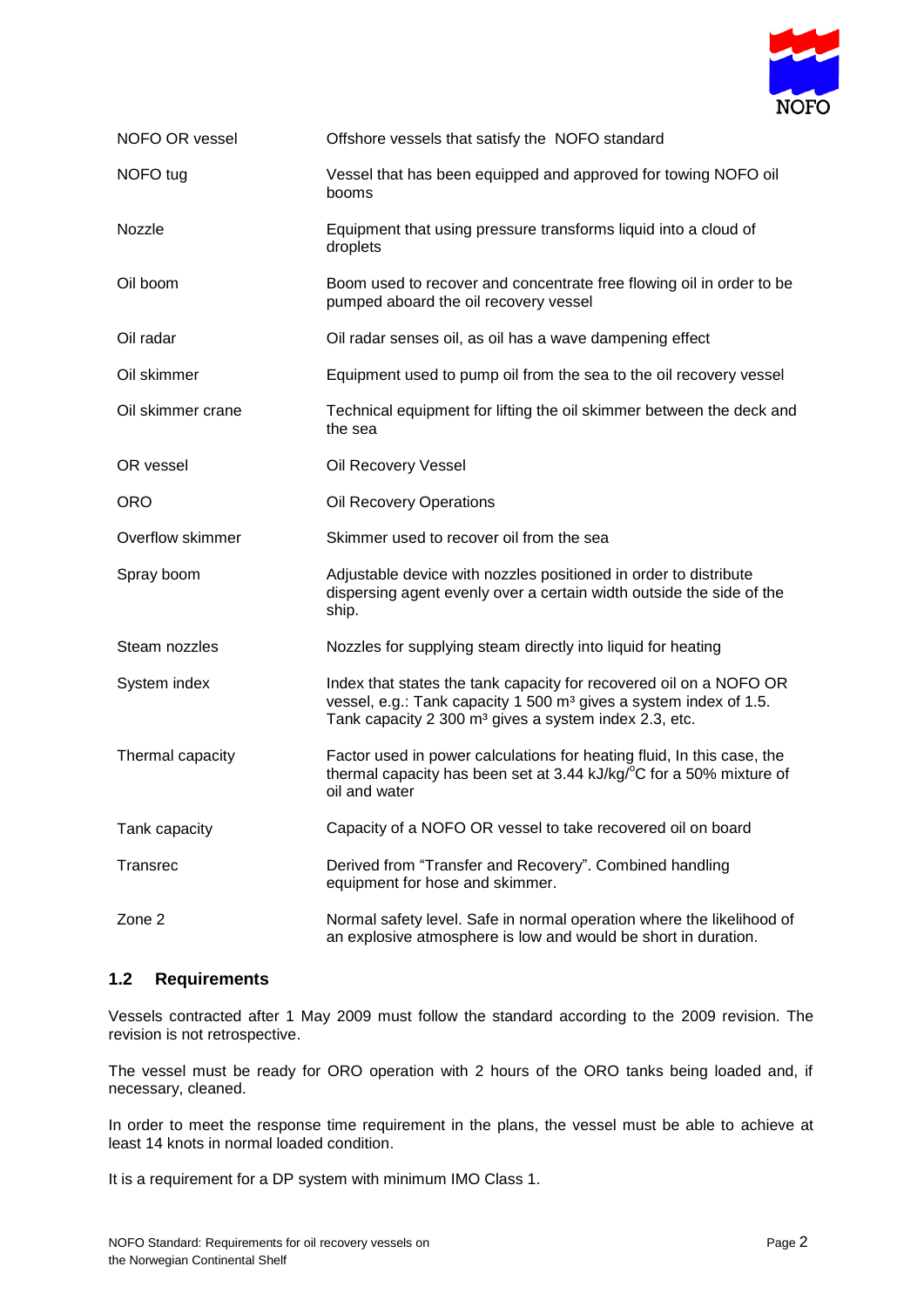

| NOFO OR vessel    | Offshore vessels that satisfy the NOFO standard                                                                                                                                                                          |
|-------------------|--------------------------------------------------------------------------------------------------------------------------------------------------------------------------------------------------------------------------|
| NOFO tug          | Vessel that has been equipped and approved for towing NOFO oil<br>booms                                                                                                                                                  |
| Nozzle            | Equipment that using pressure transforms liquid into a cloud of<br>droplets                                                                                                                                              |
| Oil boom          | Boom used to recover and concentrate free flowing oil in order to be<br>pumped aboard the oil recovery vessel                                                                                                            |
| Oil radar         | Oil radar senses oil, as oil has a wave dampening effect                                                                                                                                                                 |
| Oil skimmer       | Equipment used to pump oil from the sea to the oil recovery vessel                                                                                                                                                       |
| Oil skimmer crane | Technical equipment for lifting the oil skimmer between the deck and<br>the sea                                                                                                                                          |
| OR vessel         | Oil Recovery Vessel                                                                                                                                                                                                      |
| <b>ORO</b>        | Oil Recovery Operations                                                                                                                                                                                                  |
| Overflow skimmer  | Skimmer used to recover oil from the sea                                                                                                                                                                                 |
| Spray boom        | Adjustable device with nozzles positioned in order to distribute<br>dispersing agent evenly over a certain width outside the side of the<br>ship.                                                                        |
| Steam nozzles     | Nozzles for supplying steam directly into liquid for heating                                                                                                                                                             |
| System index      | Index that states the tank capacity for recovered oil on a NOFO OR<br>vessel, e.g.: Tank capacity 1 500 m <sup>3</sup> gives a system index of 1.5.<br>Tank capacity 2 300 m <sup>3</sup> gives a system index 2.3, etc. |
| Thermal capacity  | Factor used in power calculations for heating fluid, In this case, the<br>thermal capacity has been set at 3.44 kJ/kg/°C for a 50% mixture of<br>oil and water                                                           |
| Tank capacity     | Capacity of a NOFO OR vessel to take recovered oil on board                                                                                                                                                              |
| Transrec          | Derived from "Transfer and Recovery". Combined handling<br>equipment for hose and skimmer.                                                                                                                               |
| Zone 2            | Normal safety level. Safe in normal operation where the likelihood of<br>an explosive atmosphere is low and would be short in duration.                                                                                  |

## **1.2 Requirements**

Vessels contracted after 1 May 2009 must follow the standard according to the 2009 revision. The revision is not retrospective.

The vessel must be ready for ORO operation with 2 hours of the ORO tanks being loaded and, if necessary, cleaned.

In order to meet the response time requirement in the plans, the vessel must be able to achieve at least 14 knots in normal loaded condition.

It is a requirement for a DP system with minimum IMO Class 1.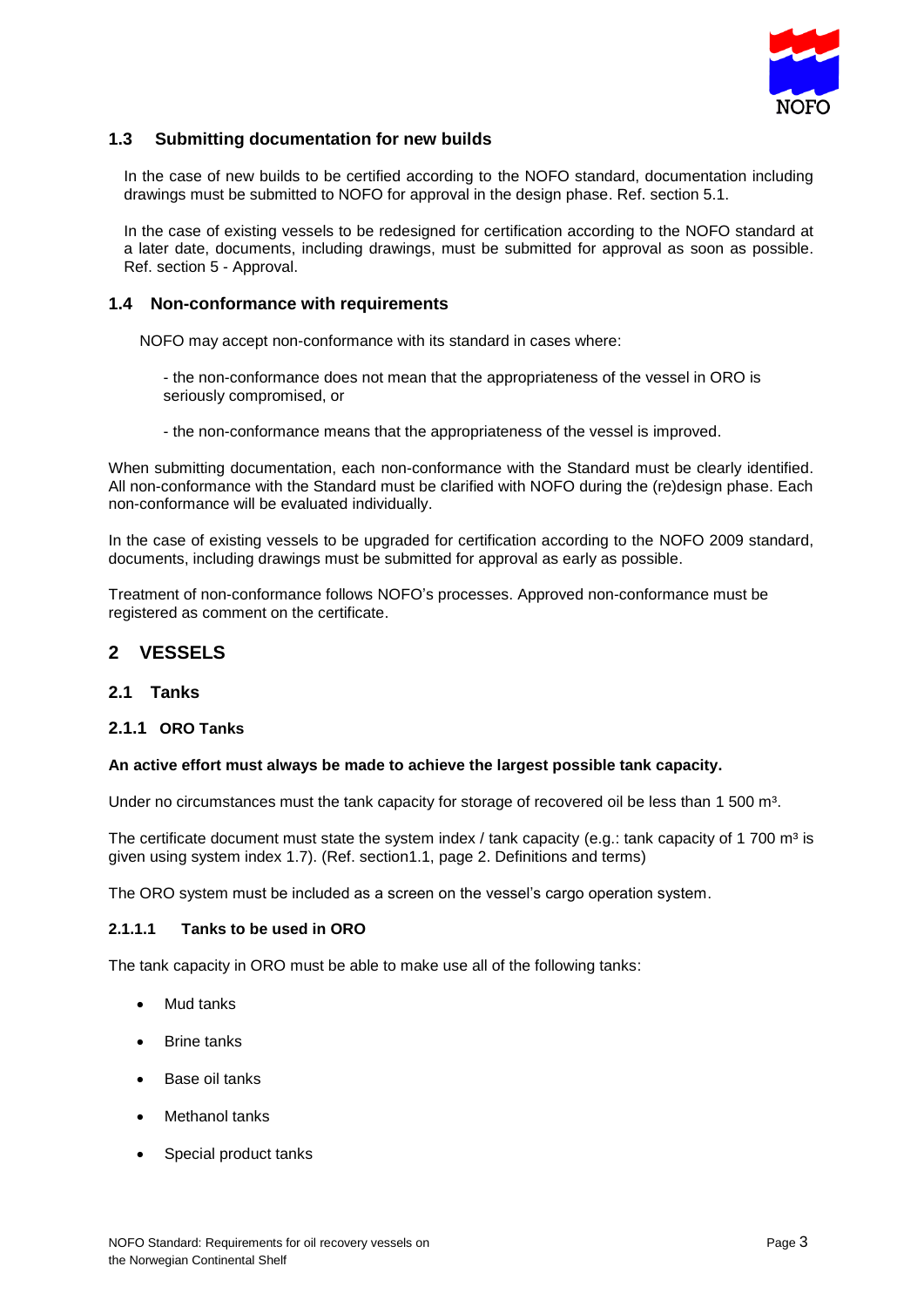

## **1.3 Submitting documentation for new builds**

In the case of new builds to be certified according to the NOFO standard, documentation including drawings must be submitted to NOFO for approval in the design phase. Ref. section 5.1.

In the case of existing vessels to be redesigned for certification according to the NOFO standard at a later date, documents, including drawings, must be submitted for approval as soon as possible. Ref. section 5 - Approval.

#### **1.4 Non-conformance with requirements**

NOFO may accept non-conformance with its standard in cases where:

- the non-conformance does not mean that the appropriateness of the vessel in ORO is seriously compromised, or
- the non-conformance means that the appropriateness of the vessel is improved.

When submitting documentation, each non-conformance with the Standard must be clearly identified. All non-conformance with the Standard must be clarified with NOFO during the (re)design phase. Each non-conformance will be evaluated individually.

In the case of existing vessels to be upgraded for certification according to the NOFO 2009 standard, documents, including drawings must be submitted for approval as early as possible.

Treatment of non-conformance follows NOFO's processes. Approved non-conformance must be registered as comment on the certificate.

## **2 VESSELS**

#### **2.1 Tanks**

#### **2.1.1 ORO Tanks**

#### **An active effort must always be made to achieve the largest possible tank capacity.**

Under no circumstances must the tank capacity for storage of recovered oil be less than 1 500 m<sup>3</sup>.

The certificate document must state the system index / tank capacity (e.g.: tank capacity of 1 700 m<sup>3</sup> is given using system index 1.7). (Ref. section1.1, page 2. Definitions and terms)

The ORO system must be included as a screen on the vessel's cargo operation system.

#### **2.1.1.1 Tanks to be used in ORO**

The tank capacity in ORO must be able to make use all of the following tanks:

- Mud tanks
- Brine tanks
- Base oil tanks
- Methanol tanks
- Special product tanks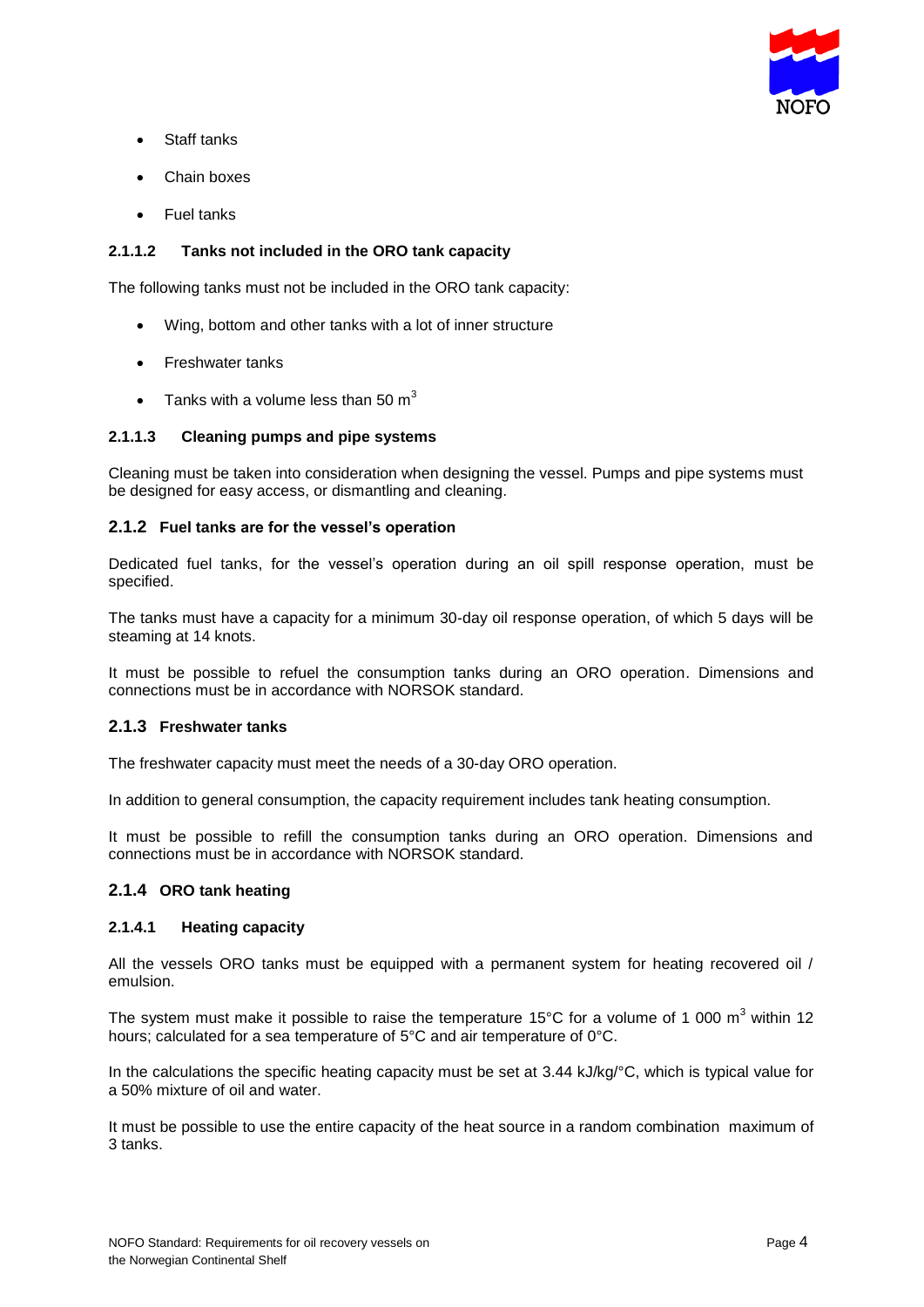

- Staff tanks
- Chain boxes
- Fuel tanks

## **2.1.1.2 Tanks not included in the ORO tank capacity**

The following tanks must not be included in the ORO tank capacity:

- Wing, bottom and other tanks with a lot of inner structure
- Freshwater tanks
- Tanks with a volume less than 50  $m<sup>3</sup>$

### **2.1.1.3 Cleaning pumps and pipe systems**

Cleaning must be taken into consideration when designing the vessel. Pumps and pipe systems must be designed for easy access, or dismantling and cleaning.

### **2.1.2 Fuel tanks are for the vessel's operation**

Dedicated fuel tanks, for the vessel's operation during an oil spill response operation, must be specified.

The tanks must have a capacity for a minimum 30-day oil response operation, of which 5 days will be steaming at 14 knots.

It must be possible to refuel the consumption tanks during an ORO operation. Dimensions and connections must be in accordance with NORSOK standard.

#### **2.1.3 Freshwater tanks**

The freshwater capacity must meet the needs of a 30-day ORO operation.

In addition to general consumption, the capacity requirement includes tank heating consumption.

It must be possible to refill the consumption tanks during an ORO operation. Dimensions and connections must be in accordance with NORSOK standard.

#### **2.1.4 ORO tank heating**

#### **2.1.4.1 Heating capacity**

All the vessels ORO tanks must be equipped with a permanent system for heating recovered oil / emulsion.

The system must make it possible to raise the temperature 15°C for a volume of 1 000  $m<sup>3</sup>$  within 12 hours; calculated for a sea temperature of 5°C and air temperature of 0°C.

In the calculations the specific heating capacity must be set at 3.44 kJ/kg/°C, which is typical value for a 50% mixture of oil and water.

It must be possible to use the entire capacity of the heat source in a random combination maximum of 3 tanks.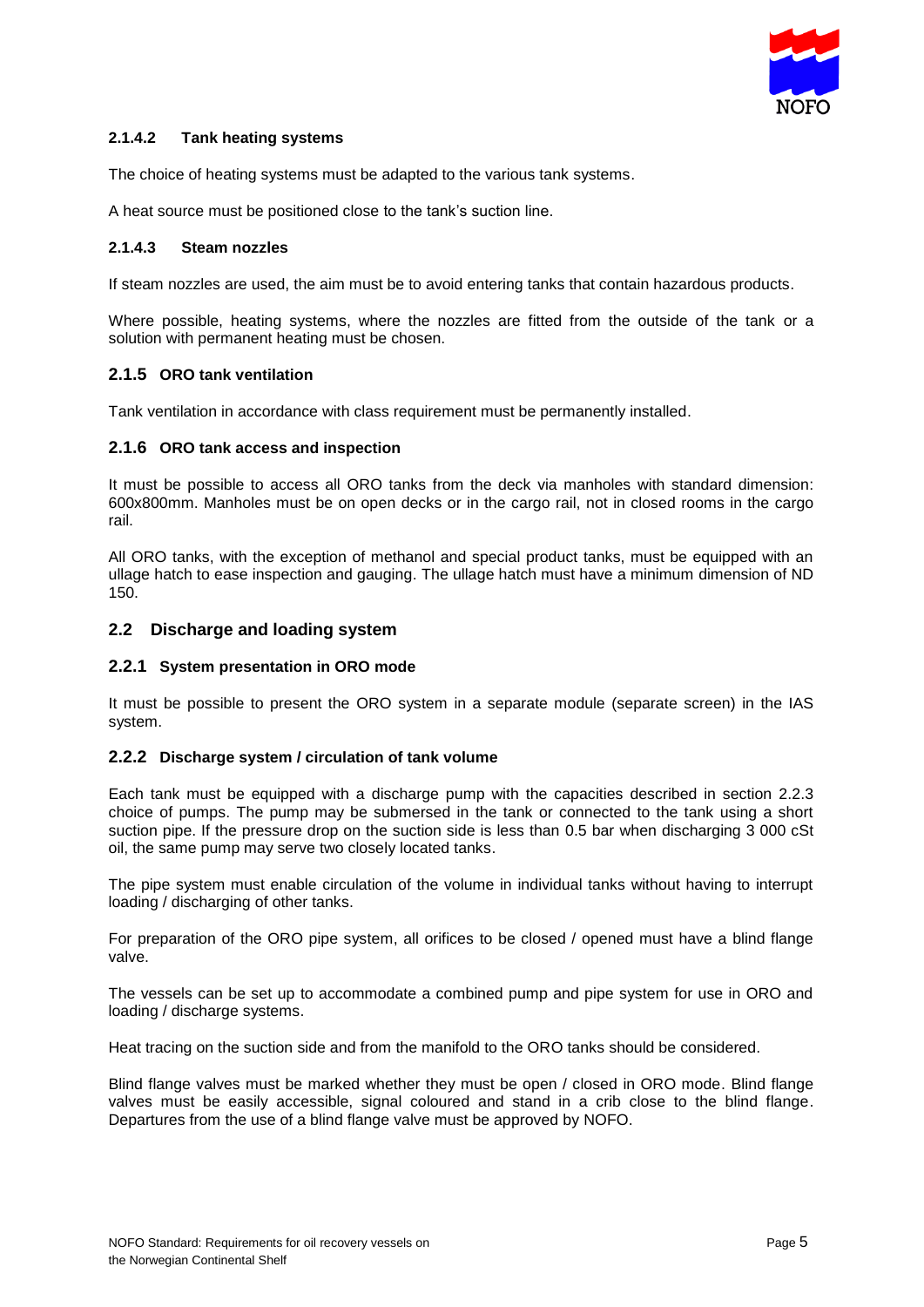

### **2.1.4.2 Tank heating systems**

The choice of heating systems must be adapted to the various tank systems.

A heat source must be positioned close to the tank's suction line.

#### **2.1.4.3 Steam nozzles**

If steam nozzles are used, the aim must be to avoid entering tanks that contain hazardous products.

Where possible, heating systems, where the nozzles are fitted from the outside of the tank or a solution with permanent heating must be chosen.

### **2.1.5 ORO tank ventilation**

Tank ventilation in accordance with class requirement must be permanently installed.

#### **2.1.6 ORO tank access and inspection**

It must be possible to access all ORO tanks from the deck via manholes with standard dimension: 600x800mm. Manholes must be on open decks or in the cargo rail, not in closed rooms in the cargo rail.

All ORO tanks, with the exception of methanol and special product tanks, must be equipped with an ullage hatch to ease inspection and gauging. The ullage hatch must have a minimum dimension of ND 150.

### **2.2 Discharge and loading system**

#### **2.2.1 System presentation in ORO mode**

It must be possible to present the ORO system in a separate module (separate screen) in the IAS system.

#### **2.2.2 Discharge system / circulation of tank volume**

Each tank must be equipped with a discharge pump with the capacities described in section 2.2.3 choice of pumps. The pump may be submersed in the tank or connected to the tank using a short suction pipe. If the pressure drop on the suction side is less than 0.5 bar when discharging 3 000 cSt oil, the same pump may serve two closely located tanks.

The pipe system must enable circulation of the volume in individual tanks without having to interrupt loading / discharging of other tanks.

For preparation of the ORO pipe system, all orifices to be closed / opened must have a blind flange valve.

The vessels can be set up to accommodate a combined pump and pipe system for use in ORO and loading / discharge systems.

Heat tracing on the suction side and from the manifold to the ORO tanks should be considered.

Blind flange valves must be marked whether they must be open / closed in ORO mode. Blind flange valves must be easily accessible, signal coloured and stand in a crib close to the blind flange. Departures from the use of a blind flange valve must be approved by NOFO.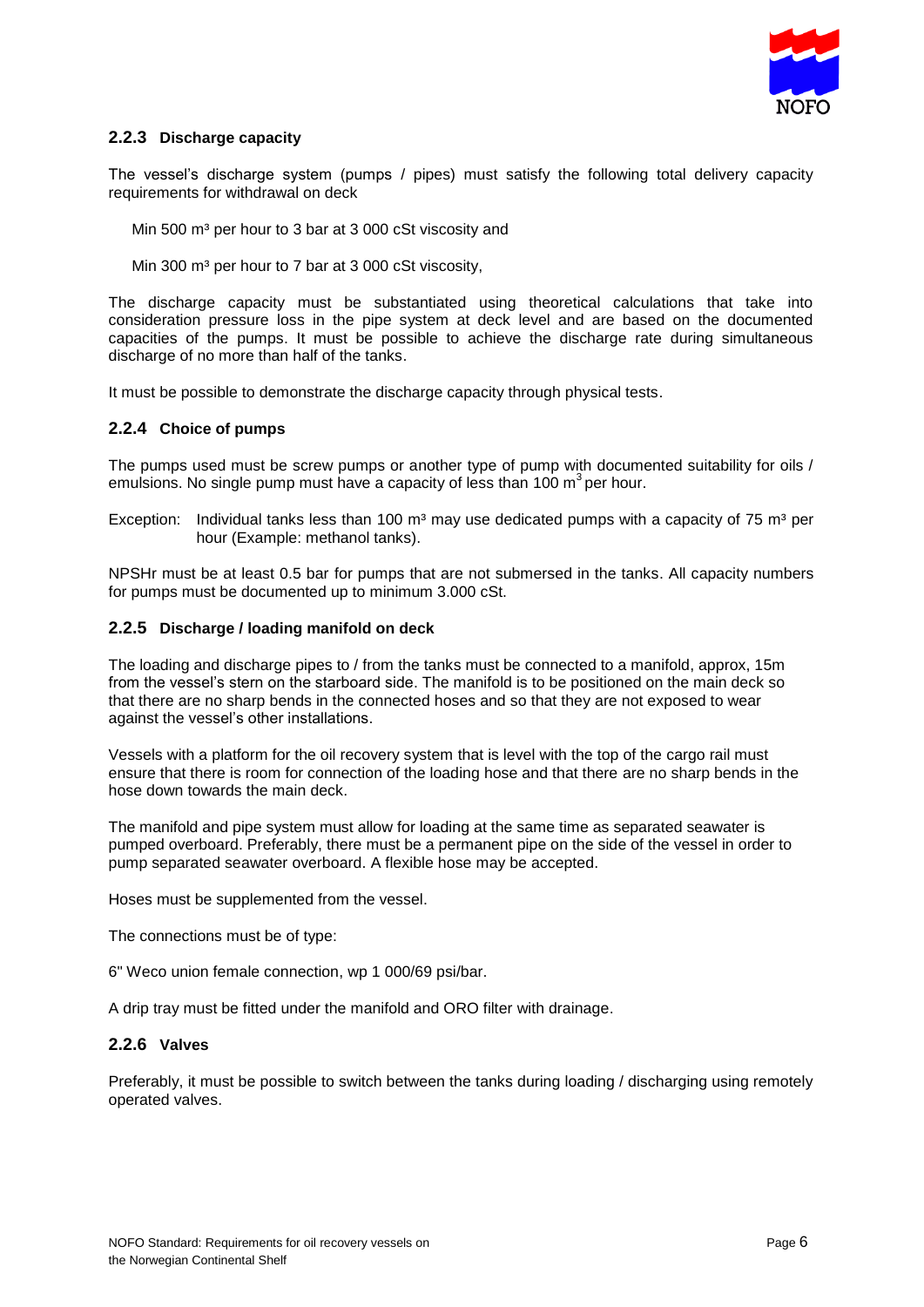

#### **2.2.3 Discharge capacity**

The vessel's discharge system (pumps / pipes) must satisfy the following total delivery capacity requirements for withdrawal on deck

Min 500 m<sup>3</sup> per hour to 3 bar at 3 000 cSt viscosity and

Min 300 m<sup>3</sup> per hour to 7 bar at 3 000 cSt viscosity,

The discharge capacity must be substantiated using theoretical calculations that take into consideration pressure loss in the pipe system at deck level and are based on the documented capacities of the pumps. It must be possible to achieve the discharge rate during simultaneous discharge of no more than half of the tanks.

It must be possible to demonstrate the discharge capacity through physical tests.

#### **2.2.4 Choice of pumps**

The pumps used must be screw pumps or another type of pump with documented suitability for oils / emulsions. No single pump must have a capacity of less than 100  $m^3$  per hour.

Exception: Individual tanks less than 100 m<sup>3</sup> may use dedicated pumps with a capacity of 75 m<sup>3</sup> per hour (Example: methanol tanks).

NPSHr must be at least 0.5 bar for pumps that are not submersed in the tanks. All capacity numbers for pumps must be documented up to minimum 3.000 cSt.

#### **2.2.5 Discharge / loading manifold on deck**

The loading and discharge pipes to / from the tanks must be connected to a manifold, approx, 15m from the vessel's stern on the starboard side. The manifold is to be positioned on the main deck so that there are no sharp bends in the connected hoses and so that they are not exposed to wear against the vessel's other installations.

Vessels with a platform for the oil recovery system that is level with the top of the cargo rail must ensure that there is room for connection of the loading hose and that there are no sharp bends in the hose down towards the main deck.

The manifold and pipe system must allow for loading at the same time as separated seawater is pumped overboard. Preferably, there must be a permanent pipe on the side of the vessel in order to pump separated seawater overboard. A flexible hose may be accepted.

Hoses must be supplemented from the vessel.

The connections must be of type:

6" Weco union female connection, wp 1 000/69 psi/bar.

A drip tray must be fitted under the manifold and ORO filter with drainage.

#### **2.2.6 Valves**

Preferably, it must be possible to switch between the tanks during loading / discharging using remotely operated valves.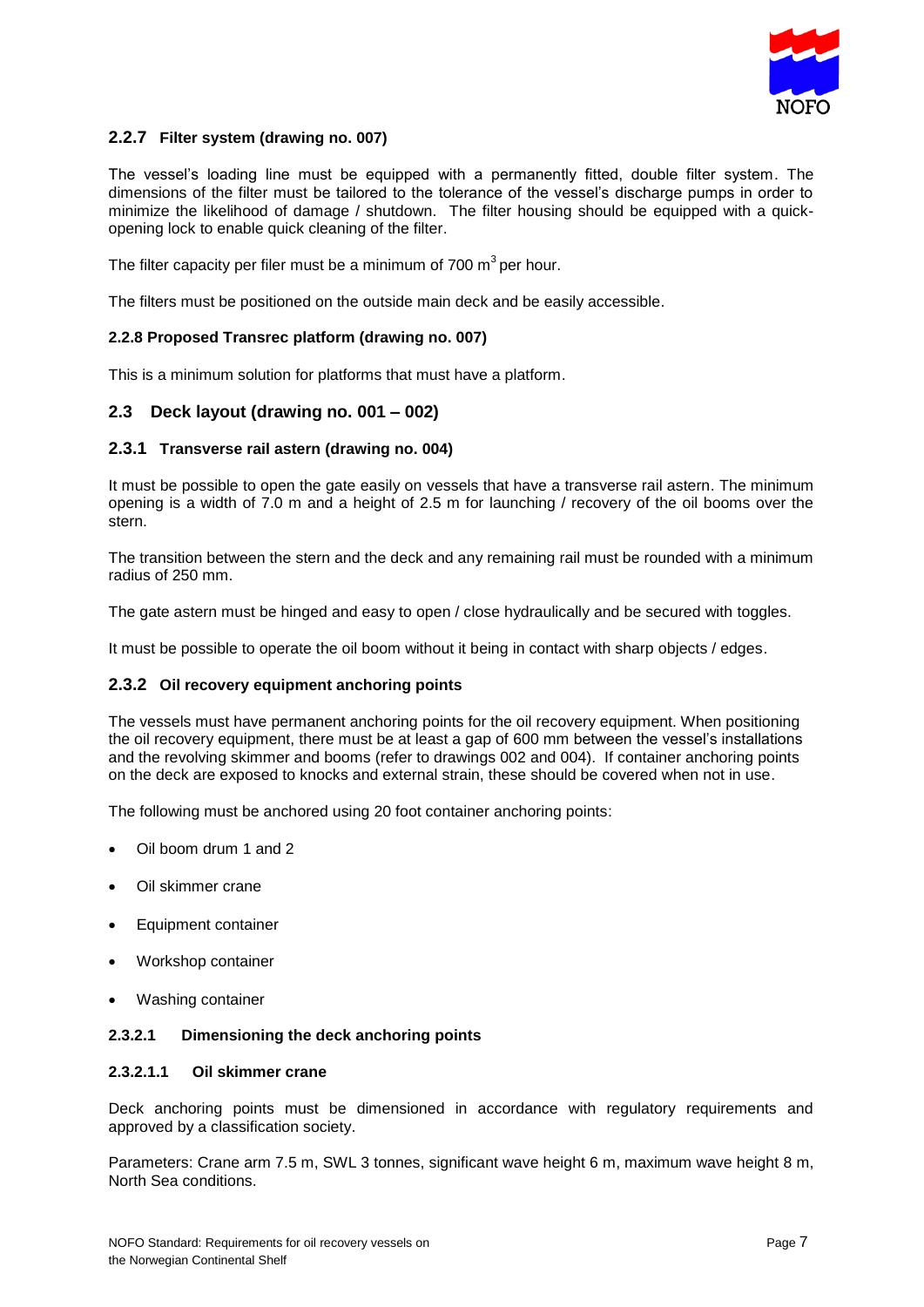

#### **2.2.7 Filter system (drawing no. 007)**

The vessel's loading line must be equipped with a permanently fitted, double filter system. The dimensions of the filter must be tailored to the tolerance of the vessel's discharge pumps in order to minimize the likelihood of damage / shutdown. The filter housing should be equipped with a quickopening lock to enable quick cleaning of the filter.

The filter capacity per filer must be a minimum of 700 m<sup>3</sup> per hour.

The filters must be positioned on the outside main deck and be easily accessible.

#### **2.2.8 Proposed Transrec platform (drawing no. 007)**

This is a minimum solution for platforms that must have a platform.

### **2.3 Deck layout (drawing no. 001 – 002)**

#### **2.3.1 Transverse rail astern (drawing no. 004)**

It must be possible to open the gate easily on vessels that have a transverse rail astern. The minimum opening is a width of 7.0 m and a height of 2.5 m for launching / recovery of the oil booms over the stern.

The transition between the stern and the deck and any remaining rail must be rounded with a minimum radius of 250 mm.

The gate astern must be hinged and easy to open / close hydraulically and be secured with toggles.

It must be possible to operate the oil boom without it being in contact with sharp objects / edges.

#### **2.3.2 Oil recovery equipment anchoring points**

The vessels must have permanent anchoring points for the oil recovery equipment. When positioning the oil recovery equipment, there must be at least a gap of 600 mm between the vessel's installations and the revolving skimmer and booms (refer to drawings 002 and 004). If container anchoring points on the deck are exposed to knocks and external strain, these should be covered when not in use.

The following must be anchored using 20 foot container anchoring points:

- Oil boom drum 1 and 2
- Oil skimmer crane
- Equipment container
- Workshop container
- Washing container

#### **2.3.2.1 Dimensioning the deck anchoring points**

#### **2.3.2.1.1 Oil skimmer crane**

Deck anchoring points must be dimensioned in accordance with regulatory requirements and approved by a classification society.

Parameters: Crane arm 7.5 m, SWL 3 tonnes, significant wave height 6 m, maximum wave height 8 m, North Sea conditions.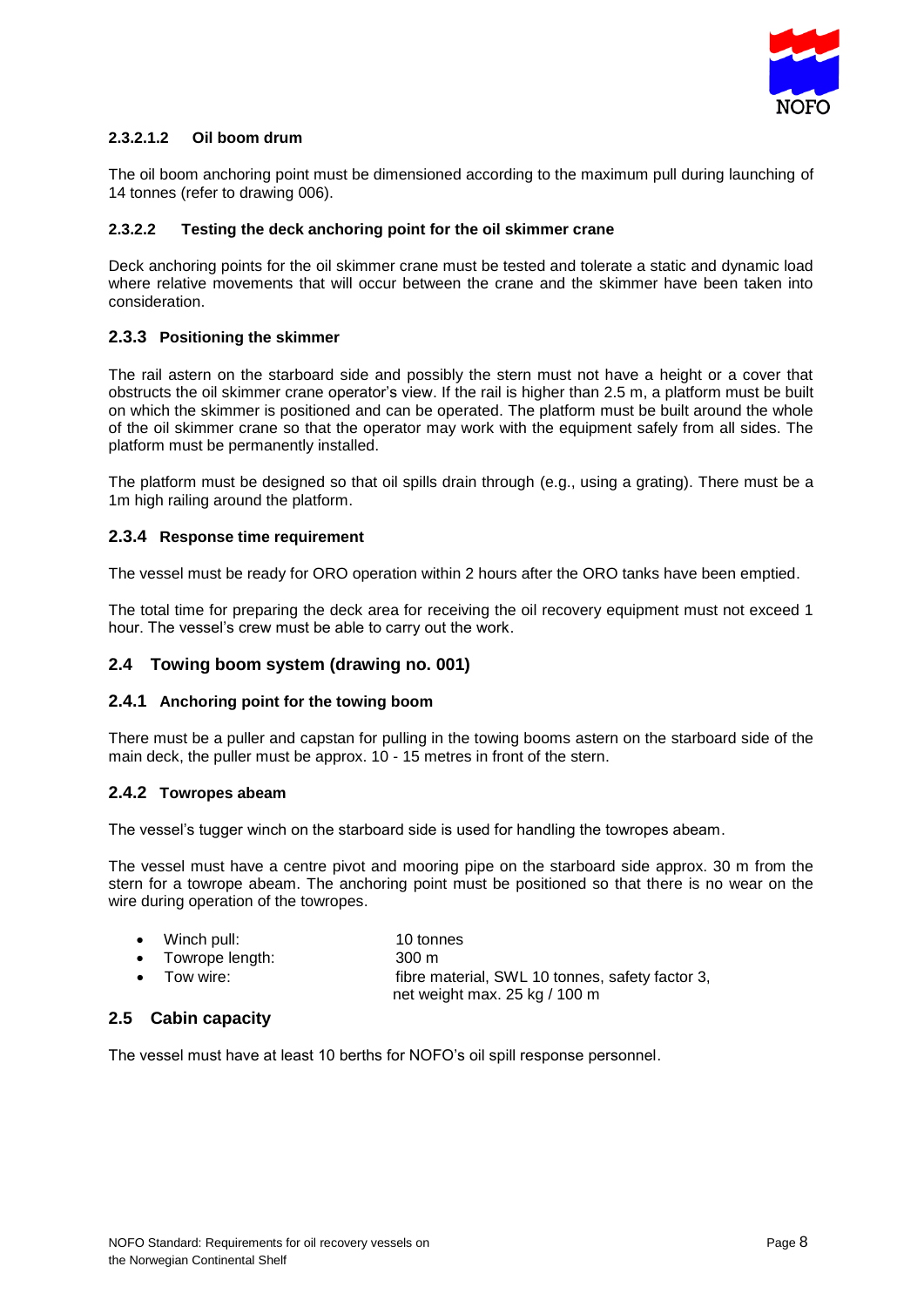

### **2.3.2.1.2 Oil boom drum**

The oil boom anchoring point must be dimensioned according to the maximum pull during launching of 14 tonnes (refer to drawing 006).

#### **2.3.2.2 Testing the deck anchoring point for the oil skimmer crane**

Deck anchoring points for the oil skimmer crane must be tested and tolerate a static and dynamic load where relative movements that will occur between the crane and the skimmer have been taken into consideration.

### **2.3.3 Positioning the skimmer**

The rail astern on the starboard side and possibly the stern must not have a height or a cover that obstructs the oil skimmer crane operator's view. If the rail is higher than 2.5 m, a platform must be built on which the skimmer is positioned and can be operated. The platform must be built around the whole of the oil skimmer crane so that the operator may work with the equipment safely from all sides. The platform must be permanently installed.

The platform must be designed so that oil spills drain through (e.g., using a grating). There must be a 1m high railing around the platform.

## **2.3.4 Response time requirement**

The vessel must be ready for ORO operation within 2 hours after the ORO tanks have been emptied.

The total time for preparing the deck area for receiving the oil recovery equipment must not exceed 1 hour. The vessel's crew must be able to carry out the work.

#### **2.4 Towing boom system (drawing no. 001)**

#### **2.4.1 Anchoring point for the towing boom**

There must be a puller and capstan for pulling in the towing booms astern on the starboard side of the main deck, the puller must be approx. 10 - 15 metres in front of the stern.

#### **2.4.2 Towropes abeam**

The vessel's tugger winch on the starboard side is used for handling the towropes abeam.

The vessel must have a centre pivot and mooring pipe on the starboard side approx. 30 m from the stern for a towrope abeam. The anchoring point must be positioned so that there is no wear on the wire during operation of the towropes.

| $\bullet$ Winch pull:                                                           | 10 tonnes                                          |
|---------------------------------------------------------------------------------|----------------------------------------------------|
| $\bullet$ Towrope length:                                                       | $300 \text{ m}$                                    |
| the contract of the contract of the contract of the contract of the contract of | CL., and the CIAL And the second of the Contract O |

Tow wire: **fibre material, SWL 10 tonnes, safety factor 3,** net weight max. 25 kg / 100 m

## **2.5 Cabin capacity**

The vessel must have at least 10 berths for NOFO's oil spill response personnel.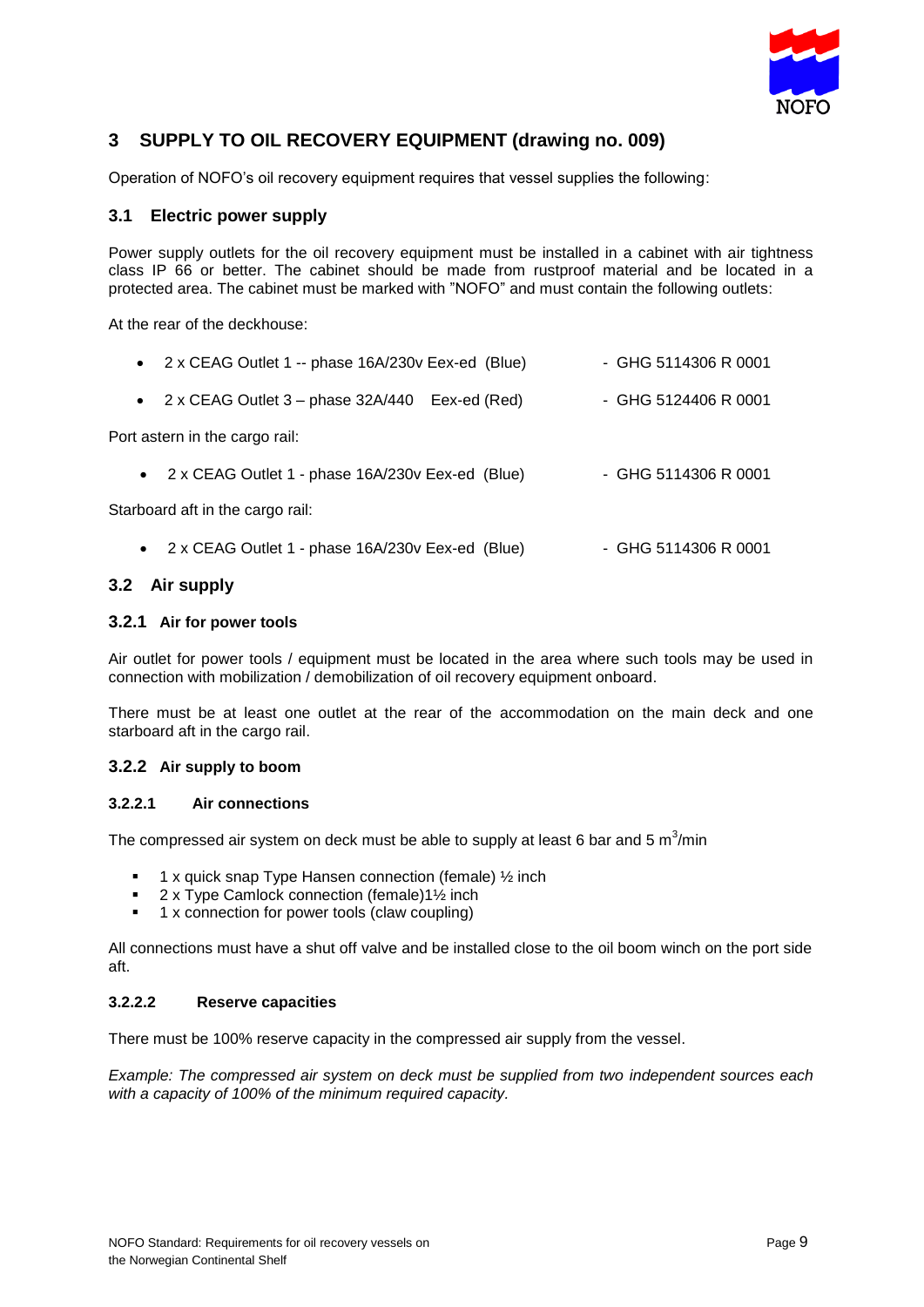

# **3 SUPPLY TO OIL RECOVERY EQUIPMENT (drawing no. 009)**

Operation of NOFO's oil recovery equipment requires that vessel supplies the following:

### **3.1 Electric power supply**

Power supply outlets for the oil recovery equipment must be installed in a cabinet with air tightness class IP 66 or better. The cabinet should be made from rustproof material and be located in a protected area. The cabinet must be marked with "NOFO" and must contain the following outlets:

At the rear of the deckhouse:

|           | • 2 x CEAG Outlet 1 -- phase 16A/230v Eex-ed (Blue) | - GHG 5114306 R 0001   |
|-----------|-----------------------------------------------------|------------------------|
| $\bullet$ | 2 x CEAG Outlet 3 - phase 32A/440 Eex-ed (Red)      | $-$ GHG 5124406 R 0001 |
|           | Port astern in the cargo rail:                      |                        |
|           | • 2 x CEAG Outlet 1 - phase 16A/230v Eex-ed (Blue)  | - GHG 5114306 R 0001   |
|           | Starboard aft in the cargo rail:                    |                        |
|           | • 2 x CEAG Outlet 1 - phase 16A/230v Eex-ed (Blue)  | - GHG 5114306 R 0001   |

### **3.2 Air supply**

#### **3.2.1 Air for power tools**

Air outlet for power tools / equipment must be located in the area where such tools may be used in connection with mobilization / demobilization of oil recovery equipment onboard.

There must be at least one outlet at the rear of the accommodation on the main deck and one starboard aft in the cargo rail.

#### **3.2.2 Air supply to boom**

#### **3.2.2.1 Air connections**

The compressed air system on deck must be able to supply at least 6 bar and 5  $\text{m}^3\text{/min}$ 

- 1 x quick snap Type Hansen connection (female) ½ inch
- 2 x Type Camlock connection (female)1½ inch
- 1 x connection for power tools (claw coupling)

All connections must have a shut off valve and be installed close to the oil boom winch on the port side aft.

#### **3.2.2.2 Reserve capacities**

There must be 100% reserve capacity in the compressed air supply from the vessel.

*Example: The compressed air system on deck must be supplied from two independent sources each with a capacity of 100% of the minimum required capacity.*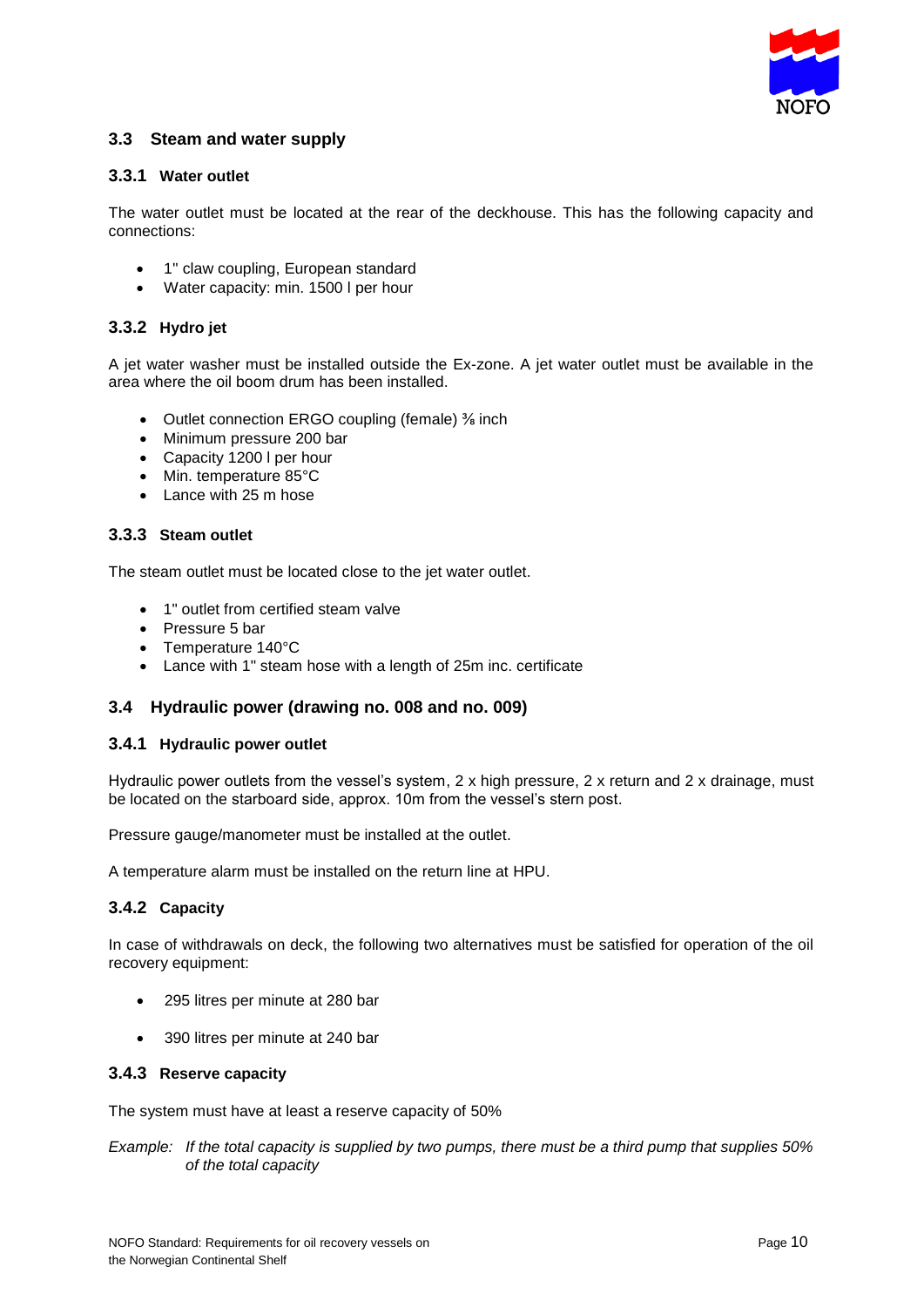

## **3.3 Steam and water supply**

#### **3.3.1 Water outlet**

The water outlet must be located at the rear of the deckhouse. This has the following capacity and connections:

- 1'' claw coupling, European standard
- Water capacity: min. 1500 I per hour

#### **3.3.2 Hydro jet**

A jet water washer must be installed outside the Ex-zone. A jet water outlet must be available in the area where the oil boom drum has been installed.

- Outlet connection ERGO coupling (female) % inch
- Minimum pressure 200 bar
- Capacity 1200 I per hour
- Min. temperature 85°C
- Lance with 25 m hose

#### **3.3.3 Steam outlet**

The steam outlet must be located close to the jet water outlet.

- 1" outlet from certified steam valve
- Pressure 5 bar
- Temperature 140°C
- Lance with 1" steam hose with a length of 25m inc. certificate

#### **3.4 Hydraulic power (drawing no. 008 and no. 009)**

#### **3.4.1 Hydraulic power outlet**

Hydraulic power outlets from the vessel's system,  $2 \times$  high pressure,  $2 \times$  return and  $2 \times$  drainage, must be located on the starboard side, approx. 10m from the vessel's stern post.

Pressure gauge/manometer must be installed at the outlet.

A temperature alarm must be installed on the return line at HPU.

#### **3.4.2 Capacity**

In case of withdrawals on deck, the following two alternatives must be satisfied for operation of the oil recovery equipment:

- 295 litres per minute at 280 bar
- 390 litres per minute at 240 bar

#### **3.4.3 Reserve capacity**

The system must have at least a reserve capacity of 50%

*Example: If the total capacity is supplied by two pumps, there must be a third pump that supplies 50% of the total capacity*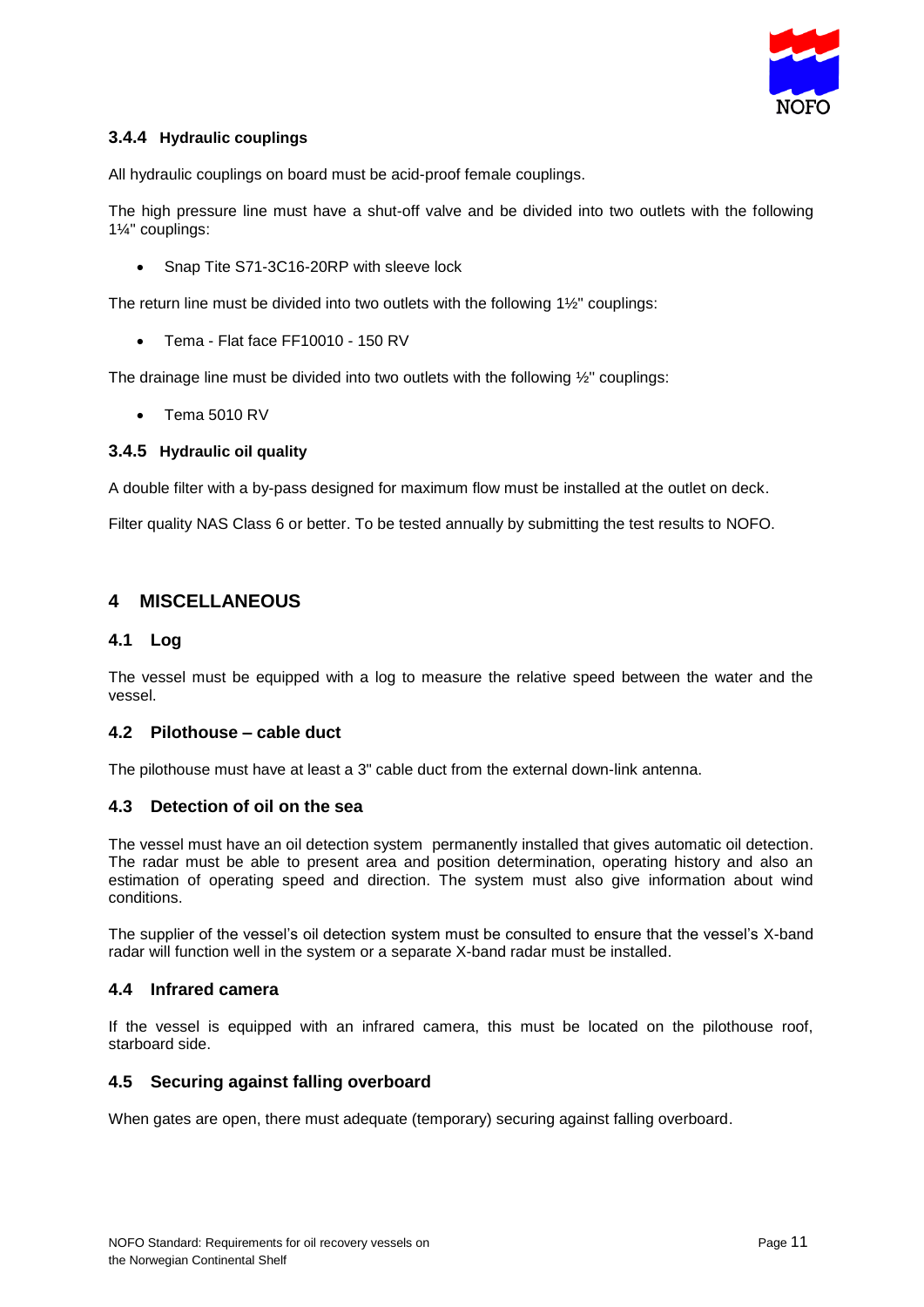

## **3.4.4 Hydraulic couplings**

All hydraulic couplings on board must be acid-proof female couplings.

The high pressure line must have a shut-off valve and be divided into two outlets with the following 1¼'' couplings:

• Snap Tite S71-3C16-20RP with sleeve lock

The return line must be divided into two outlets with the following 1½'' couplings:

• Tema - Flat face FF10010 - 150 RV

The drainage line must be divided into two outlets with the following ½'' couplings:

Tema 5010 RV

#### **3.4.5 Hydraulic oil quality**

A double filter with a by-pass designed for maximum flow must be installed at the outlet on deck.

Filter quality NAS Class 6 or better. To be tested annually by submitting the test results to NOFO.

## **4 MISCELLANEOUS**

#### **4.1 Log**

The vessel must be equipped with a log to measure the relative speed between the water and the vessel.

#### **4.2 Pilothouse – cable duct**

The pilothouse must have at least a 3" cable duct from the external down-link antenna.

#### **4.3 Detection of oil on the sea**

The vessel must have an oil detection system permanently installed that gives automatic oil detection. The radar must be able to present area and position determination, operating history and also an estimation of operating speed and direction. The system must also give information about wind conditions.

The supplier of the vessel's oil detection system must be consulted to ensure that the vessel's X-band radar will function well in the system or a separate X-band radar must be installed.

#### **4.4 Infrared camera**

If the vessel is equipped with an infrared camera, this must be located on the pilothouse roof, starboard side.

#### **4.5 Securing against falling overboard**

When gates are open, there must adequate (temporary) securing against falling overboard.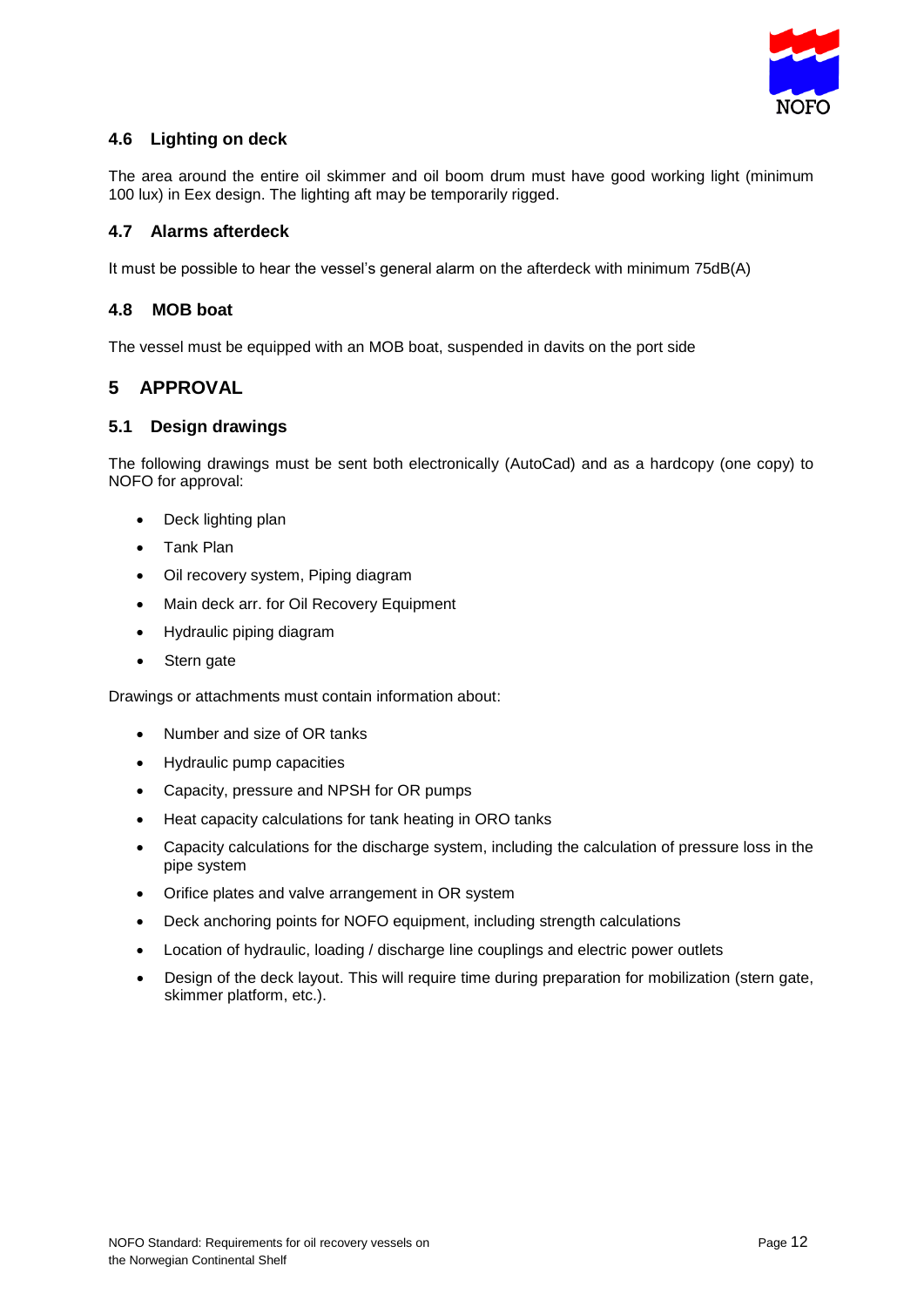

## **4.6 Lighting on deck**

The area around the entire oil skimmer and oil boom drum must have good working light (minimum 100 lux) in Eex design. The lighting aft may be temporarily rigged.

### **4.7 Alarms afterdeck**

It must be possible to hear the vessel's general alarm on the afterdeck with minimum 75dB(A)

## **4.8 MOB boat**

The vessel must be equipped with an MOB boat, suspended in davits on the port side

## **5 APPROVAL**

#### **5.1 Design drawings**

The following drawings must be sent both electronically (AutoCad) and as a hardcopy (one copy) to NOFO for approval:

- Deck lighting plan
- Tank Plan
- Oil recovery system, Piping diagram
- Main deck arr. for Oil Recovery Equipment
- Hydraulic piping diagram
- Stern gate

Drawings or attachments must contain information about:

- Number and size of OR tanks
- Hydraulic pump capacities
- Capacity, pressure and NPSH for OR pumps
- Heat capacity calculations for tank heating in ORO tanks
- Capacity calculations for the discharge system, including the calculation of pressure loss in the pipe system
- Orifice plates and valve arrangement in OR system
- Deck anchoring points for NOFO equipment, including strength calculations
- Location of hydraulic, loading / discharge line couplings and electric power outlets
- Design of the deck layout. This will require time during preparation for mobilization (stern gate, skimmer platform, etc.).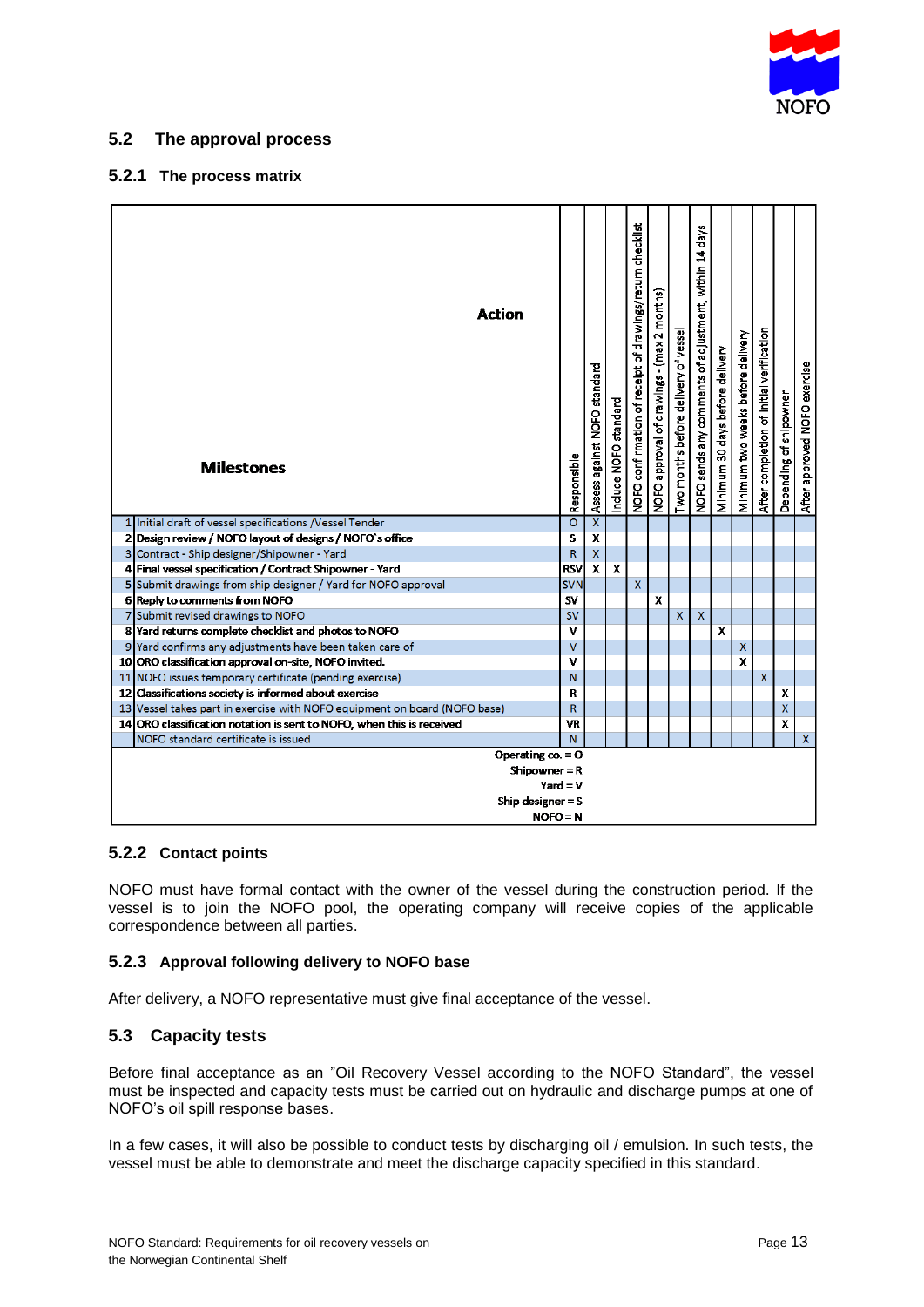

## **5.2 The approval process**

#### **5.2.1 The process matrix**

| Action<br><b>Milestones</b>                                               | Responsible    | Assess against NOFO standard | Include NOFO standard | NOFO confirmation of receipt of drawings/return checklist | months)<br>$\mathbf{\tilde{c}}$<br>NOFO approval of drawings - (max | Two months before delivery of vessel | NOFO sends any comments of adjustment, within 14 days | Minimum 30 days before delivery | Minimum two weeks before delivery | After completion of Initial verification | Depending of shipowner | After approved NOFO exercise |
|---------------------------------------------------------------------------|----------------|------------------------------|-----------------------|-----------------------------------------------------------|---------------------------------------------------------------------|--------------------------------------|-------------------------------------------------------|---------------------------------|-----------------------------------|------------------------------------------|------------------------|------------------------------|
| 1 Initial draft of vessel specifications /Vessel Tender                   | $\overline{O}$ | $\overline{\textbf{X}}$      |                       |                                                           |                                                                     |                                      |                                                       |                                 |                                   |                                          |                        |                              |
| 2 Design review / NOFO layout of designs / NOFO's office                  | S              | $\mathbf{x}$                 |                       |                                                           |                                                                     |                                      |                                                       |                                 |                                   |                                          |                        |                              |
| 3 Contract - Ship designer/Shipowner - Yard                               | $\mathsf R$    | $\bar{\mathbf{X}}$           |                       |                                                           |                                                                     |                                      |                                                       |                                 |                                   |                                          |                        |                              |
| 4 Final vessel specification / Contract Shipowner - Yard                  | <b>RSV</b>     | $\overline{\mathbf{x}}$      | X                     |                                                           |                                                                     |                                      |                                                       |                                 |                                   |                                          |                        |                              |
| 5 Submit drawings from ship designer / Yard for NOFO approval             | <b>SVN</b>     |                              |                       | X                                                         |                                                                     |                                      |                                                       |                                 |                                   |                                          |                        |                              |
| 6 Reply to comments from NOFO                                             | <b>SV</b>      |                              |                       |                                                           | $\mathbf{x}$                                                        |                                      |                                                       |                                 |                                   |                                          |                        |                              |
| 7 Submit revised drawings to NOFO                                         | <b>SV</b>      |                              |                       |                                                           |                                                                     | $\mathsf{x}$                         | $\overline{\mathsf{x}}$                               |                                 |                                   |                                          |                        |                              |
| 8 Yard returns complete checklist and photos to NOFO                      | ν              |                              |                       |                                                           |                                                                     |                                      |                                                       | $\overline{\mathbf{x}}$         |                                   |                                          |                        |                              |
| Yard confirms any adjustments have been taken care of<br>9                | $\vee$         |                              |                       |                                                           |                                                                     |                                      |                                                       |                                 | $\mathsf{x}$                      |                                          |                        |                              |
| 10 ORO classification approval on-site, NOFO invited.                     | ν              |                              |                       |                                                           |                                                                     |                                      |                                                       |                                 | x                                 |                                          |                        |                              |
| 11 NOFO issues temporary certificate (pending exercise)                   | N              |                              |                       |                                                           |                                                                     |                                      |                                                       |                                 |                                   | <b>X</b>                                 |                        |                              |
| 12 Classifications society is informed about exercise                     | R              |                              |                       |                                                           |                                                                     |                                      |                                                       |                                 |                                   |                                          | x                      |                              |
| 13 Vessel takes part in exercise with NOFO equipment on board (NOFO base) | R              |                              |                       |                                                           |                                                                     |                                      |                                                       |                                 |                                   |                                          | X                      |                              |
| 14 ORO classification notation is sent to NOFO, when this is received     | VR             |                              |                       |                                                           |                                                                     |                                      |                                                       |                                 |                                   |                                          | $\mathbf{x}$           |                              |
| NOFO standard certificate is issued                                       | N <sub>1</sub> |                              |                       |                                                           |                                                                     |                                      |                                                       |                                 |                                   |                                          |                        | $\mathsf{x}$                 |
| Operating $\cos = 0$                                                      |                |                              |                       |                                                           |                                                                     |                                      |                                                       |                                 |                                   |                                          |                        |                              |
| Shipowner = R                                                             |                |                              |                       |                                                           |                                                                     |                                      |                                                       |                                 |                                   |                                          |                        |                              |
| Ship designer $=$ S                                                       | Yard = $V$     |                              |                       |                                                           |                                                                     |                                      |                                                       |                                 |                                   |                                          |                        |                              |
|                                                                           | $NOFO = N$     |                              |                       |                                                           |                                                                     |                                      |                                                       |                                 |                                   |                                          |                        |                              |

#### **5.2.2 Contact points**

NOFO must have formal contact with the owner of the vessel during the construction period. If the vessel is to join the NOFO pool, the operating company will receive copies of the applicable correspondence between all parties.

#### **5.2.3 Approval following delivery to NOFO base**

After delivery, a NOFO representative must give final acceptance of the vessel.

## **5.3 Capacity tests**

Before final acceptance as an "Oil Recovery Vessel according to the NOFO Standard", the vessel must be inspected and capacity tests must be carried out on hydraulic and discharge pumps at one of NOFO's oil spill response bases.

In a few cases, it will also be possible to conduct tests by discharging oil / emulsion. In such tests, the vessel must be able to demonstrate and meet the discharge capacity specified in this standard.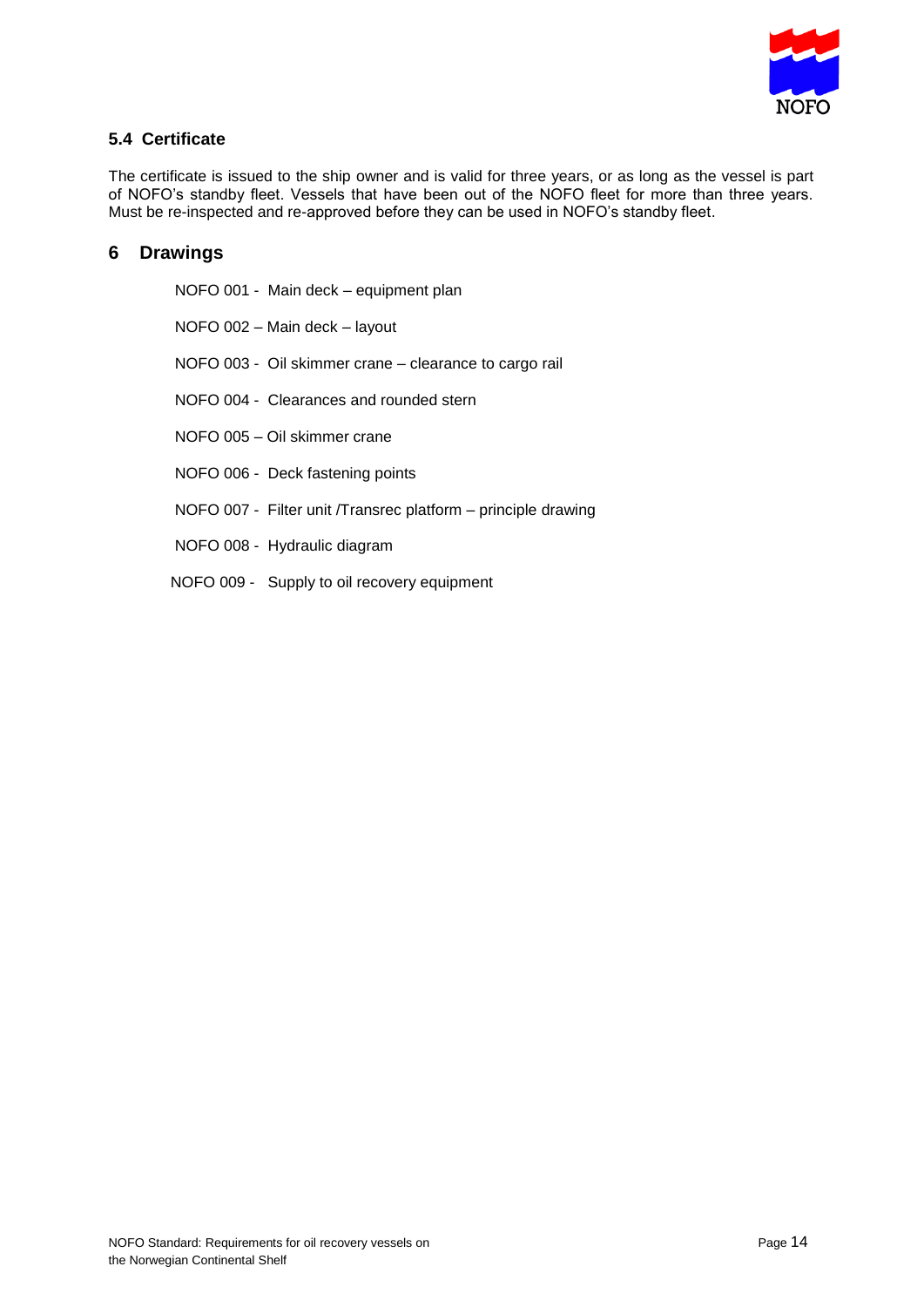

## **5.4 Certificate**

The certificate is issued to the ship owner and is valid for three years, or as long as the vessel is part of NOFO's standby fleet. Vessels that have been out of the NOFO fleet for more than three years. Must be re-inspected and re-approved before they can be used in NOFO's standby fleet.

## **6 Drawings**

| NOFO 001 - Main deck - equipment plan                         |
|---------------------------------------------------------------|
| NOFO 002 - Main deck - layout                                 |
| NOFO 003 - Oil skimmer crane - clearance to cargo rail        |
| NOFO 004 - Clearances and rounded stern                       |
| NOFO 005 - Oil skimmer crane                                  |
| NOFO 006 - Deck fastening points                              |
| NOFO 007 - Filter unit /Transrec platform – principle drawing |
| NOFO 008 - Hydraulic diagram                                  |
| NOFO 009 - Supply to oil recovery equipment                   |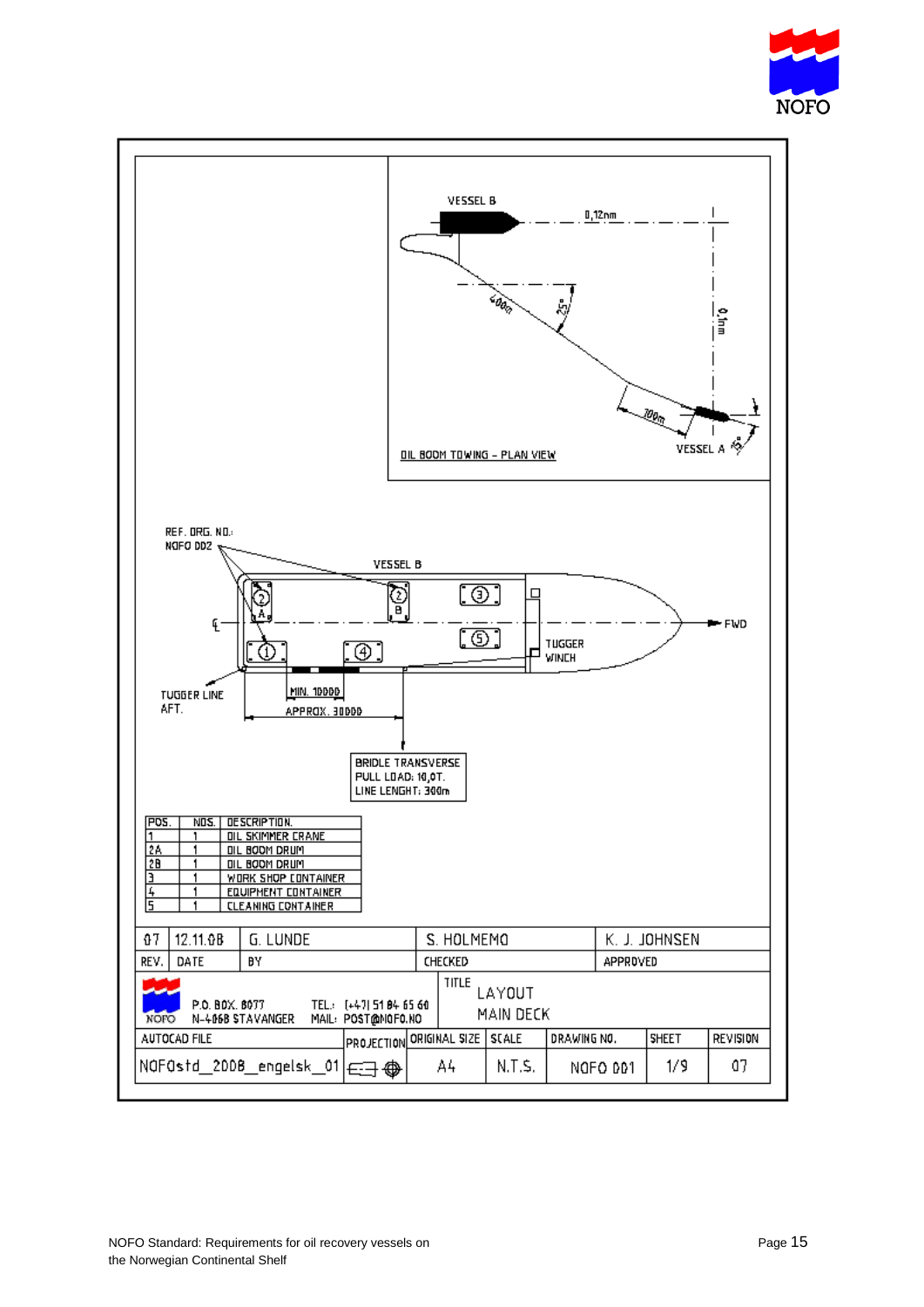

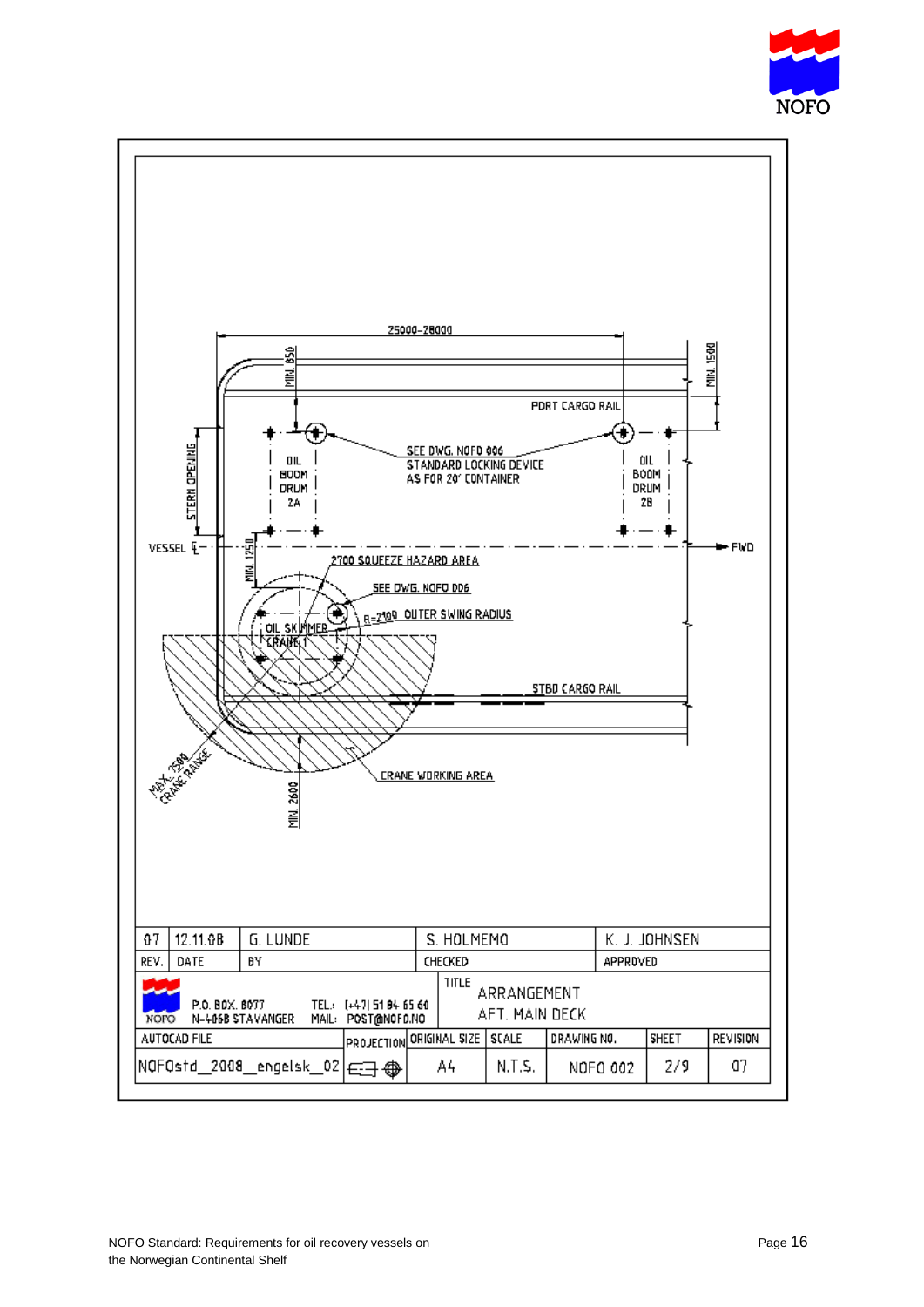

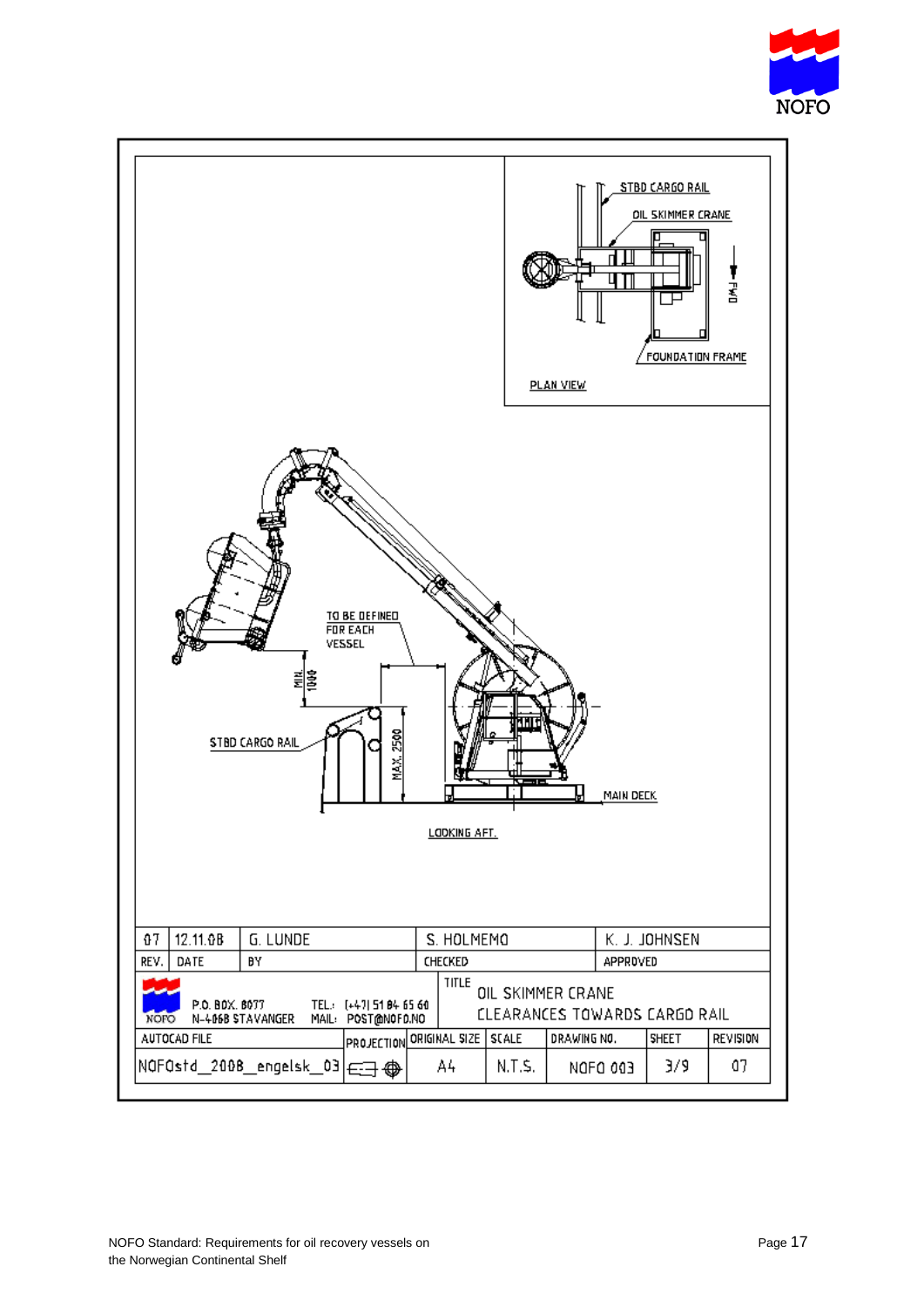

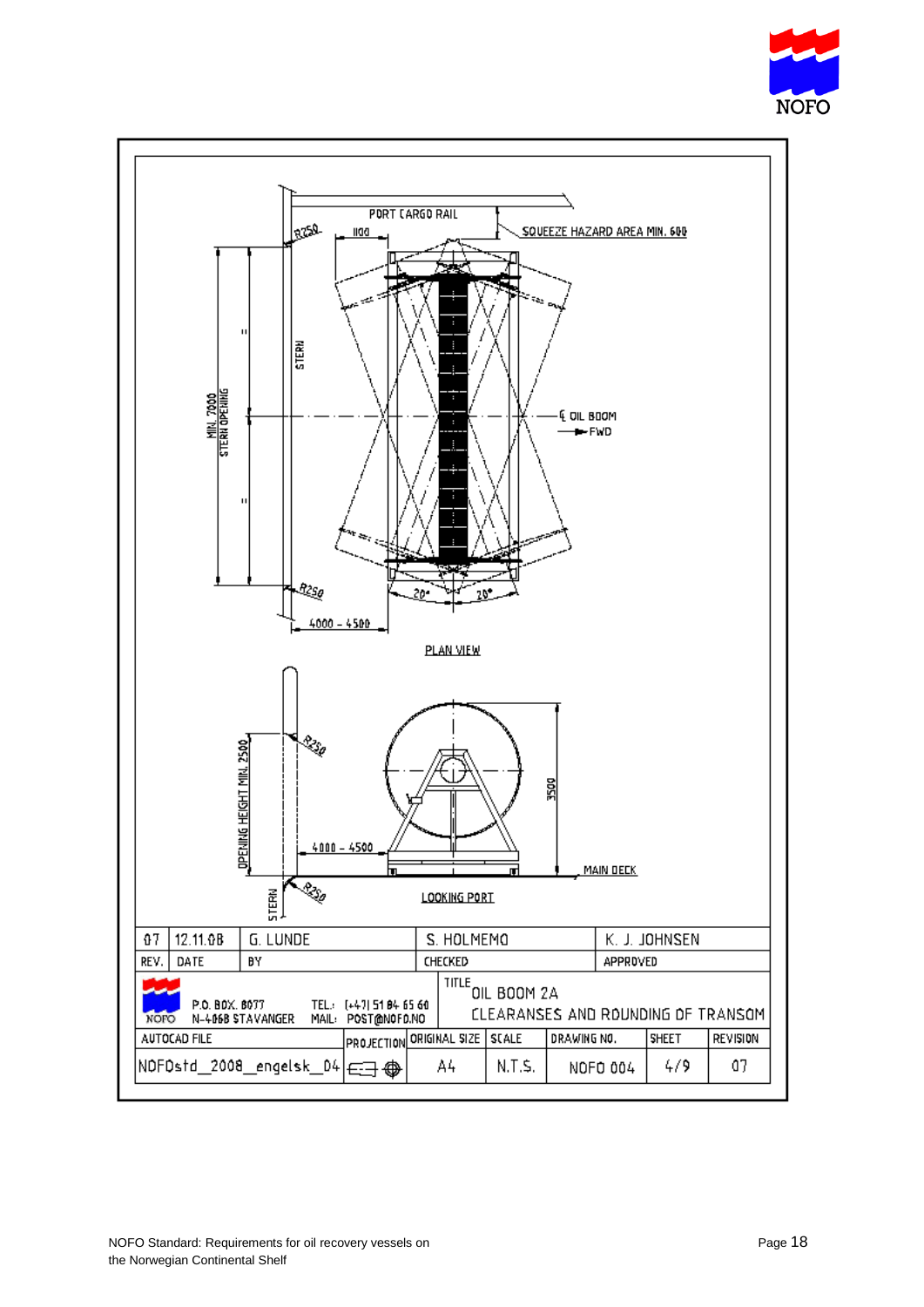

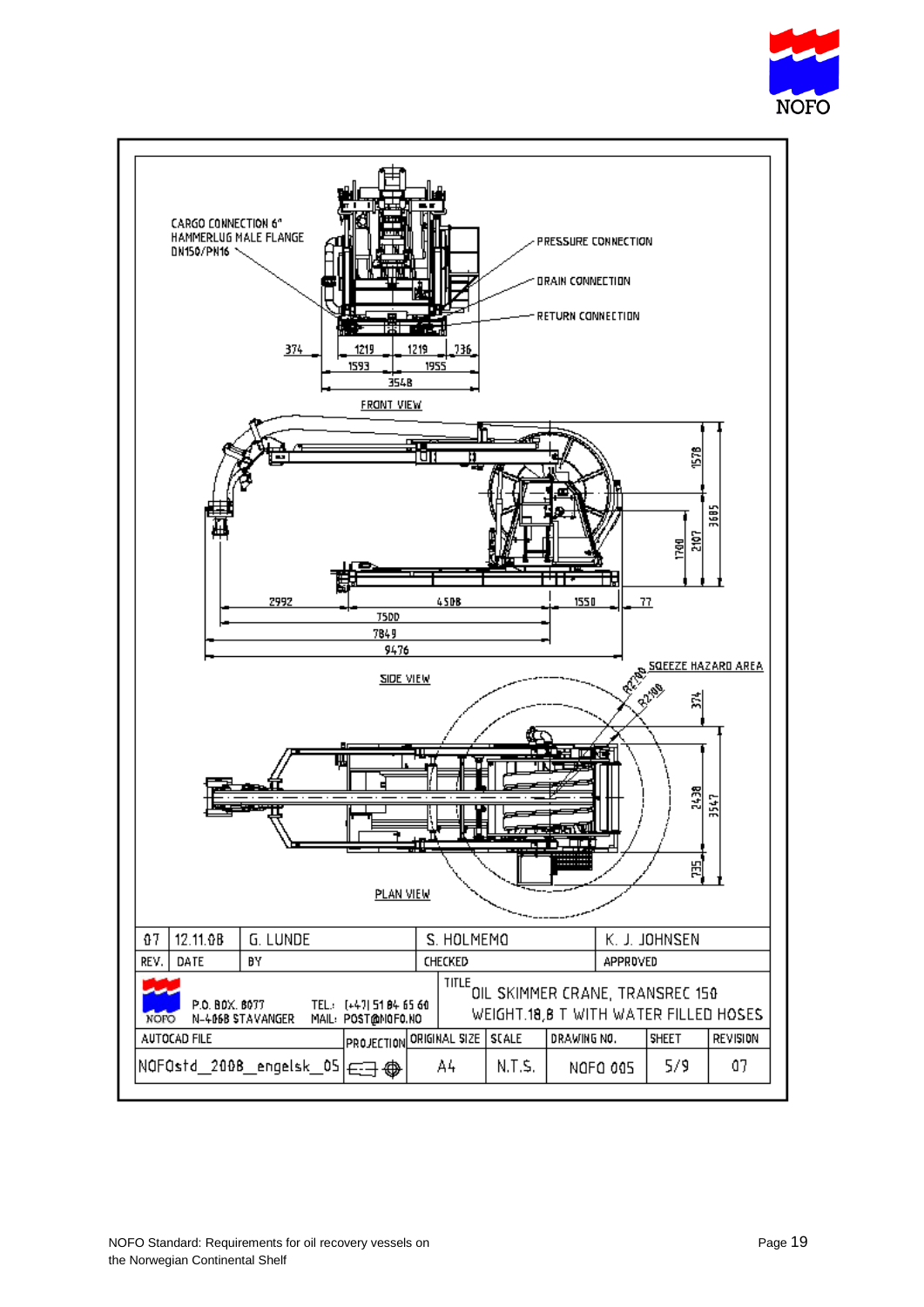

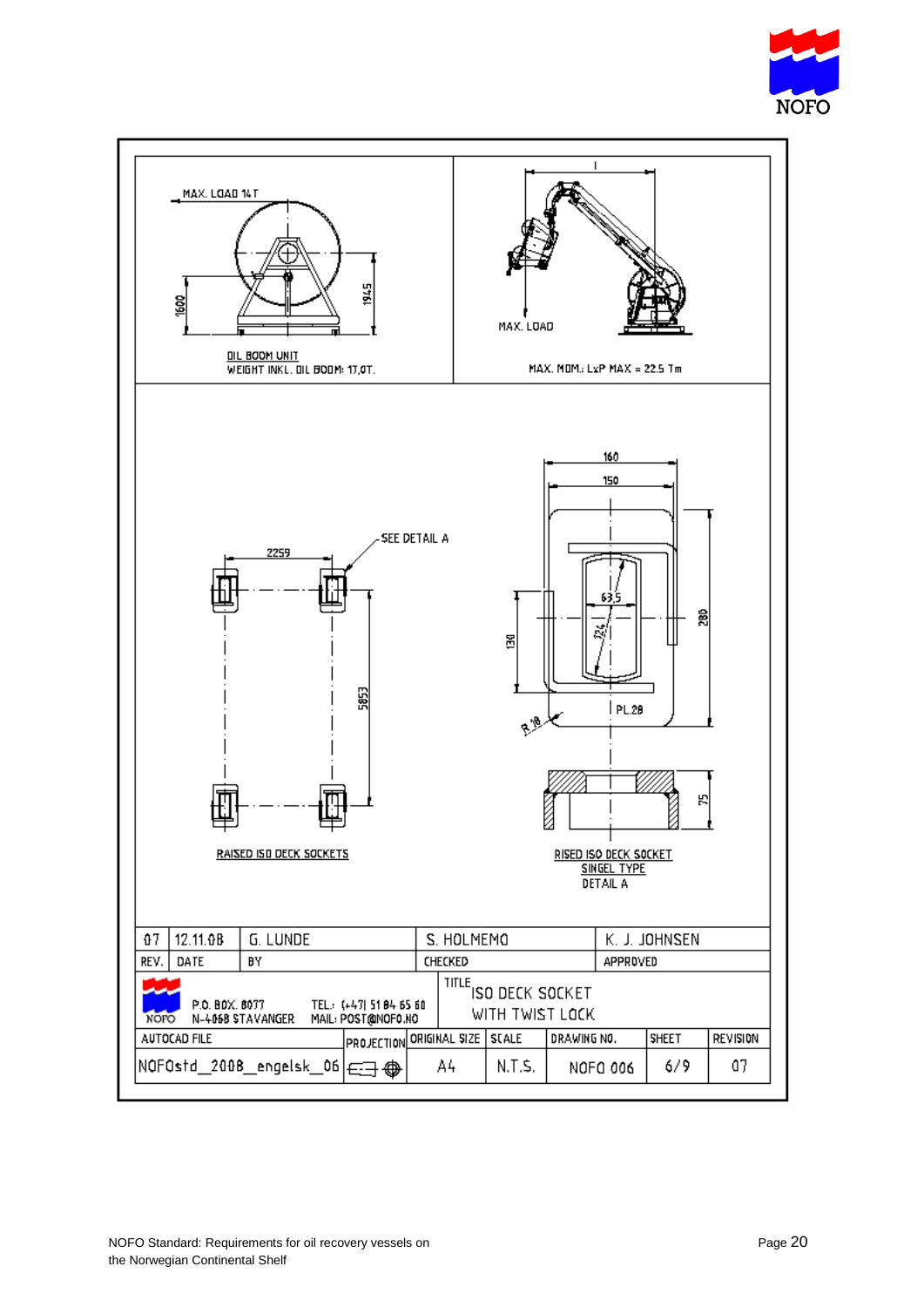

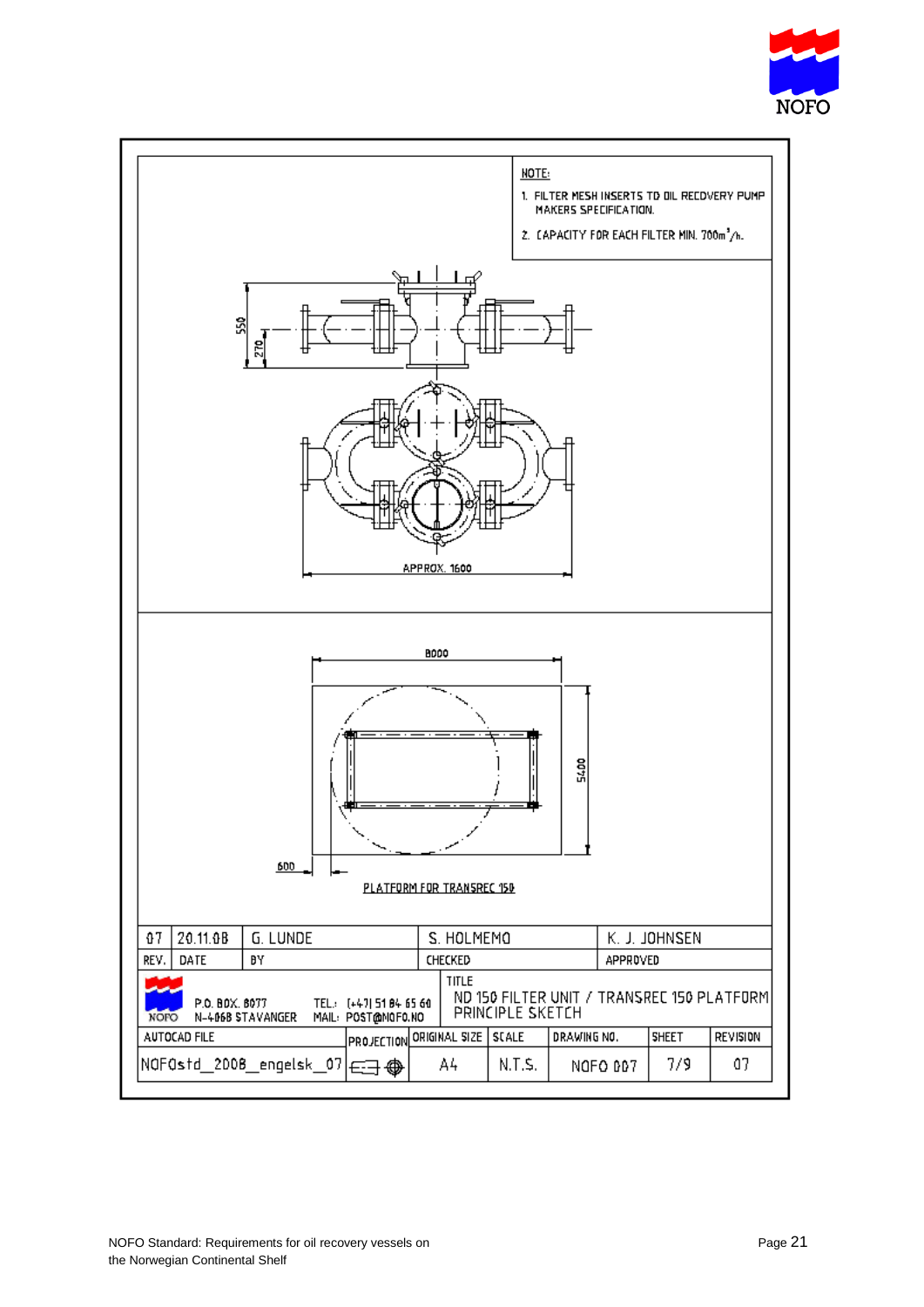

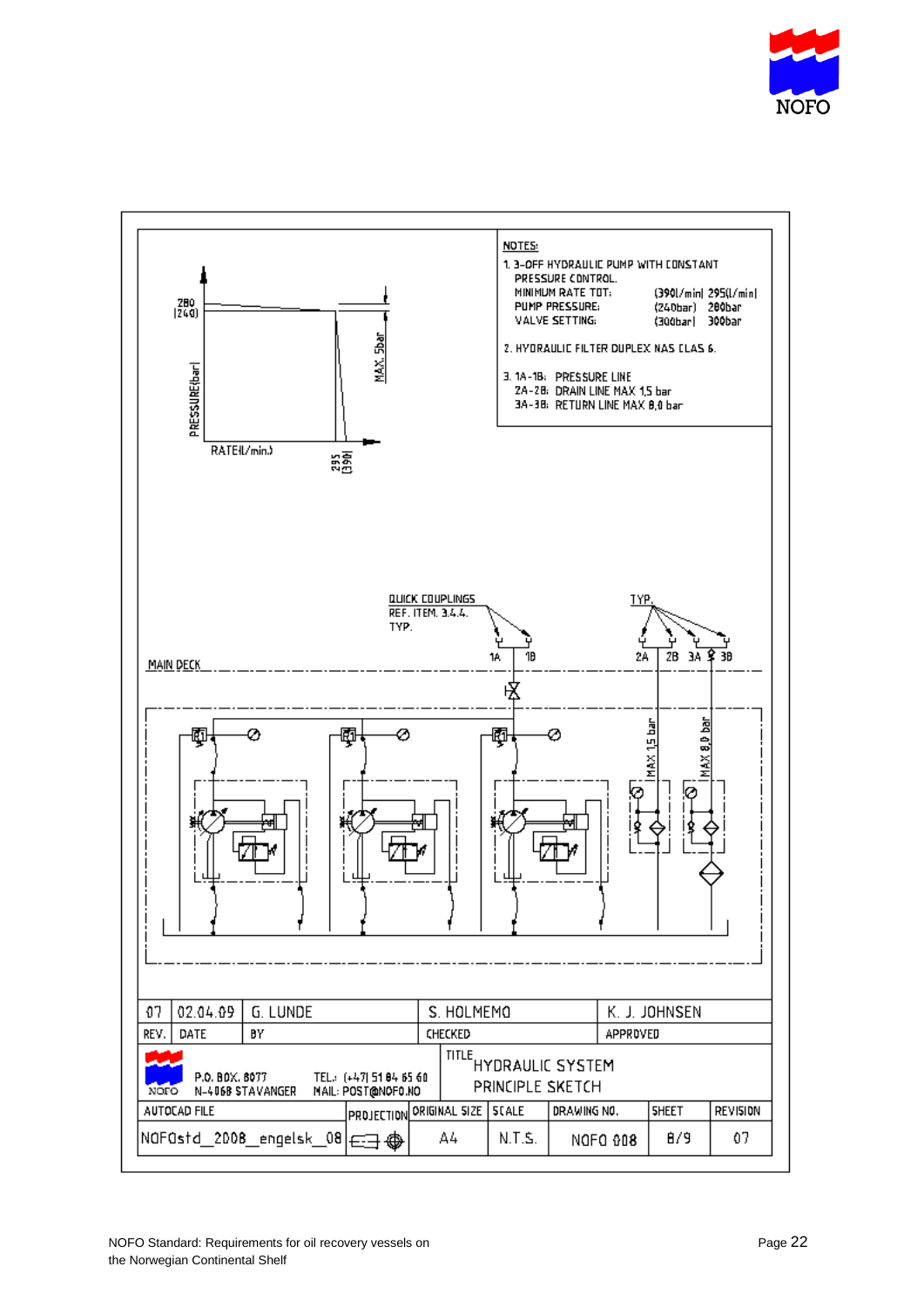